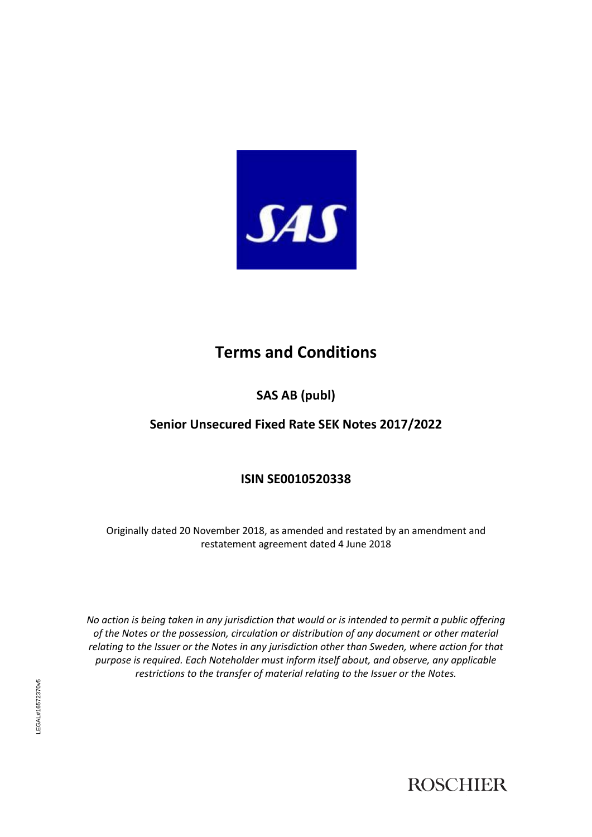

# **Terms and Conditions**

# **SAS AB (publ)**

# **Senior Unsecured Fixed Rate SEK Notes 2017/2022**

# **ISIN SE0010520338**

Originally dated 20 November 2018, as amended and restated by an amendment and restatement agreement dated 4 June 2018

*No action is being taken in any jurisdiction that would or is intended to permit a public offering of the Notes or the possession, circulation or distribution of any document or other material relating to the Issuer or the Notes in any jurisdiction other than Sweden, where action for that purpose is required. Each Noteholder must inform itself about, and observe, any applicable restrictions to the transfer of material relating to the Issuer or the Notes.*

**ROSCHIER**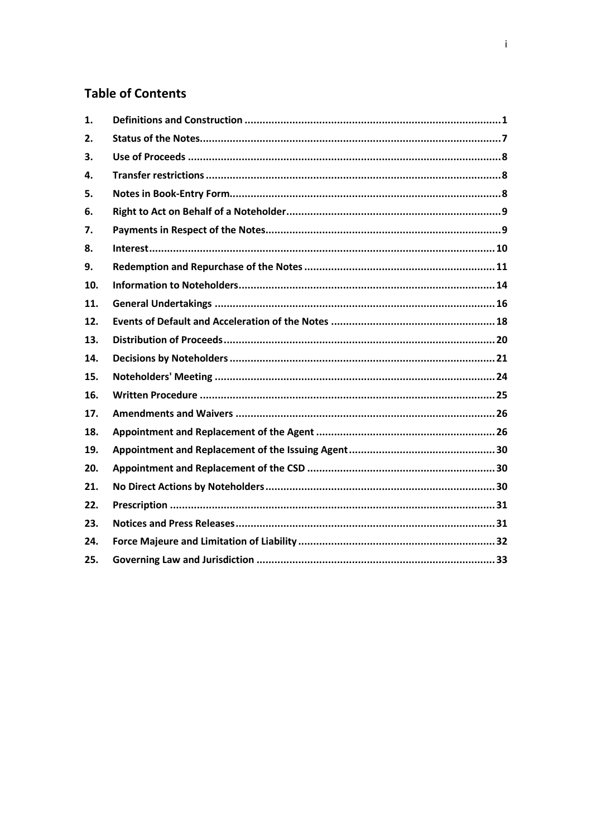# **Table of Contents**

| 1.  |  |
|-----|--|
| 2.  |  |
| 3.  |  |
| 4.  |  |
| 5.  |  |
| 6.  |  |
| 7.  |  |
| 8.  |  |
| 9.  |  |
| 10. |  |
| 11. |  |
| 12. |  |
| 13. |  |
| 14. |  |
| 15. |  |
| 16. |  |
| 17. |  |
| 18. |  |
| 19. |  |
| 20. |  |
| 21. |  |
| 22. |  |
| 23. |  |
| 24. |  |
| 25. |  |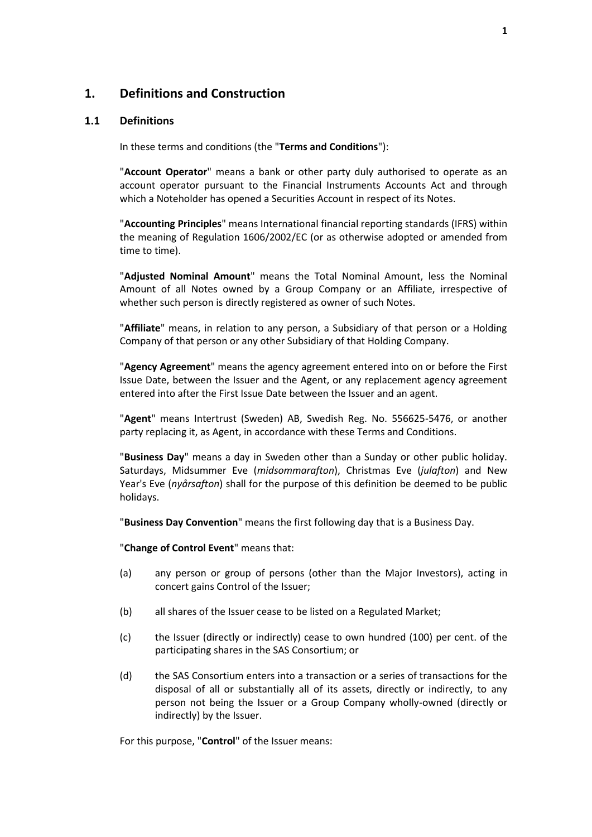# <span id="page-2-0"></span>**1. Definitions and Construction**

#### **1.1 Definitions**

In these terms and conditions (the "**Terms and Conditions**"):

"**Account Operator**" means a bank or other party duly authorised to operate as an account operator pursuant to the Financial Instruments Accounts Act and through which a Noteholder has opened a Securities Account in respect of its Notes.

"**Accounting Principles**" means International financial reporting standards (IFRS) within the meaning of Regulation 1606/2002/EC (or as otherwise adopted or amended from time to time).

"**Adjusted Nominal Amount**" means the Total Nominal Amount, less the Nominal Amount of all Notes owned by a Group Company or an Affiliate, irrespective of whether such person is directly registered as owner of such Notes.

"**Affiliate**" means, in relation to any person, a Subsidiary of that person or a Holding Company of that person or any other Subsidiary of that Holding Company.

"**Agency Agreement**" means the agency agreement entered into on or before the First Issue Date, between the Issuer and the Agent, or any replacement agency agreement entered into after the First Issue Date between the Issuer and an agent.

"**Agent**" means Intertrust (Sweden) AB, Swedish Reg. No. 556625-5476, or another party replacing it, as Agent, in accordance with these Terms and Conditions.

"**Business Day**" means a day in Sweden other than a Sunday or other public holiday. Saturdays, Midsummer Eve (*midsommarafton*), Christmas Eve (*julafton*) and New Year's Eve (*nyårsafton*) shall for the purpose of this definition be deemed to be public holidays.

"**Business Day Convention**" means the first following day that is a Business Day.

"**Change of Control Event**" means that:

- (a) any person or group of persons (other than the Major Investors), acting in concert gains Control of the Issuer;
- (b) all shares of the Issuer cease to be listed on a Regulated Market;
- (c) the Issuer (directly or indirectly) cease to own hundred (100) per cent. of the participating shares in the SAS Consortium; or
- (d) the SAS Consortium enters into a transaction or a series of transactions for the disposal of all or substantially all of its assets, directly or indirectly, to any person not being the Issuer or a Group Company wholly-owned (directly or indirectly) by the Issuer.

For this purpose, "**Control**" of the Issuer means: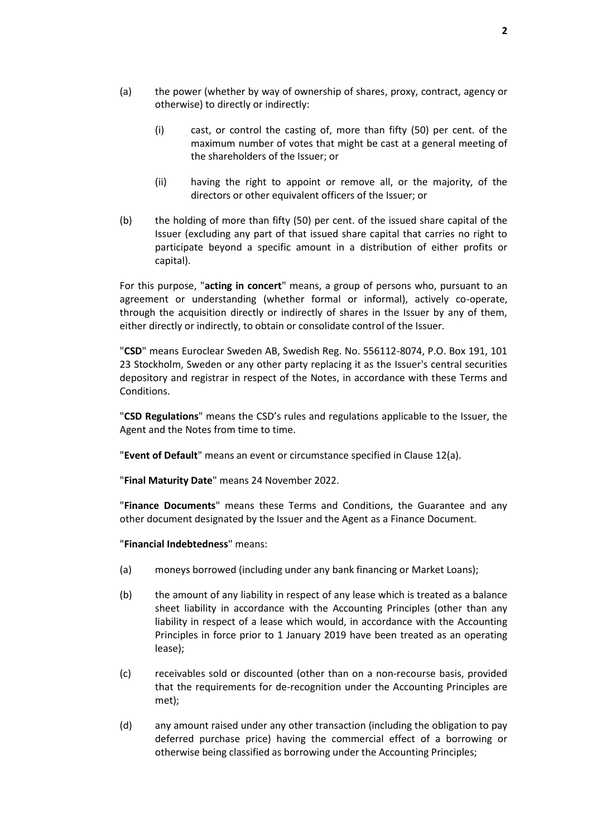- (a) the power (whether by way of ownership of shares, proxy, contract, agency or otherwise) to directly or indirectly:
	- (i) cast, or control the casting of, more than fifty (50) per cent. of the maximum number of votes that might be cast at a general meeting of the shareholders of the Issuer; or
	- (ii) having the right to appoint or remove all, or the majority, of the directors or other equivalent officers of the Issuer; or
- (b) the holding of more than fifty (50) per cent. of the issued share capital of the Issuer (excluding any part of that issued share capital that carries no right to participate beyond a specific amount in a distribution of either profits or capital).

For this purpose, "**acting in concert**" means, a group of persons who, pursuant to an agreement or understanding (whether formal or informal), actively co-operate, through the acquisition directly or indirectly of shares in the Issuer by any of them, either directly or indirectly, to obtain or consolidate control of the Issuer.

"**CSD**" means Euroclear Sweden AB, Swedish Reg. No. 556112-8074, P.O. Box 191, 101 23 Stockholm, Sweden or any other party replacing it as the Issuer's central securities depository and registrar in respect of the Notes, in accordance with these Terms and Conditions.

"**CSD Regulations**" means the CSD's rules and regulations applicable to the Issuer, the Agent and the Notes from time to time.

"**Event of Default**" means an event or circumstance specified in Clause [12\(a\).](#page-19-1)

"**Final Maturity Date**" means 24 November 2022.

"**Finance Documents**" means these Terms and Conditions, the Guarantee and any other document designated by the Issuer and the Agent as a Finance Document.

"**Financial Indebtedness**" means:

- (a) moneys borrowed (including under any bank financing or Market Loans);
- (b) the amount of any liability in respect of any lease which is treated as a balance sheet liability in accordance with the Accounting Principles (other than any liability in respect of a lease which would, in accordance with the Accounting Principles in force prior to 1 January 2019 have been treated as an operating lease);
- (c) receivables sold or discounted (other than on a non-recourse basis, provided that the requirements for de-recognition under the Accounting Principles are met);
- (d) any amount raised under any other transaction (including the obligation to pay deferred purchase price) having the commercial effect of a borrowing or otherwise being classified as borrowing under the Accounting Principles;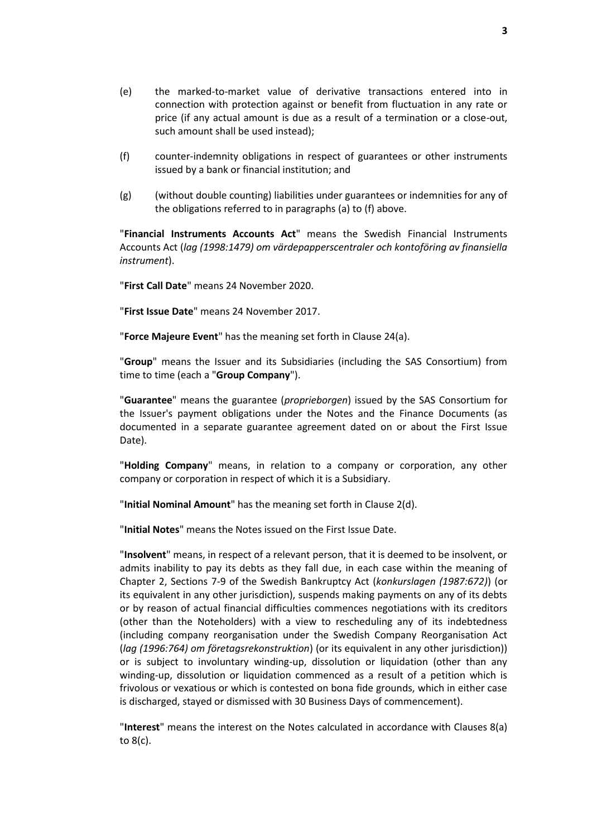- (e) the marked-to-market value of derivative transactions entered into in connection with protection against or benefit from fluctuation in any rate or price (if any actual amount is due as a result of a termination or a close-out, such amount shall be used instead);
- (f) counter-indemnity obligations in respect of guarantees or other instruments issued by a bank or financial institution; and
- (g) (without double counting) liabilities under guarantees or indemnities for any of the obligations referred to in paragraphs (a) to (f) above.

"**Financial Instruments Accounts Act**" means the Swedish Financial Instruments Accounts Act (*lag (1998:1479) om värdepapperscentraler och kontoföring av finansiella instrument*).

"**First Call Date**" means 24 November 2020.

"**First Issue Date**" means 24 November 2017.

"**Force Majeure Event**" has the meaning set forth in Clause [24\(a\).](#page-33-1)

"**Group**" means the Issuer and its Subsidiaries (including the SAS Consortium) from time to time (each a "**Group Company**").

"**Guarantee**" means the guarantee (*proprieborgen*) issued by the SAS Consortium for the Issuer's payment obligations under the Notes and the Finance Documents (as documented in a separate guarantee agreement dated on or about the First Issue Date).

"**Holding Company**" means, in relation to a company or corporation, any other company or corporation in respect of which it is a Subsidiary.

"**Initial Nominal Amount**" has the meaning set forth in Clause 2(d).

"**Initial Notes**" means the Notes issued on the First Issue Date.

"**Insolvent**" means, in respect of a relevant person, that it is deemed to be insolvent, or admits inability to pay its debts as they fall due, in each case within the meaning of Chapter 2, Sections 7-9 of the Swedish Bankruptcy Act (*konkurslagen (1987:672)*) (or its equivalent in any other jurisdiction), suspends making payments on any of its debts or by reason of actual financial difficulties commences negotiations with its creditors (other than the Noteholders) with a view to rescheduling any of its indebtedness (including company reorganisation under the Swedish Company Reorganisation Act (*lag (1996:764) om företagsrekonstruktion*) (or its equivalent in any other jurisdiction)) or is subject to involuntary winding-up, dissolution or liquidation (other than any winding-up, dissolution or liquidation commenced as a result of a petition which is frivolous or vexatious or which is contested on bona fide grounds, which in either case is discharged, stayed or dismissed with 30 Business Days of commencement).

"**Interest**" means the interest on the Notes calculated in accordance with Clauses [8\(a\)](#page-11-1) t[o 8\(c\).](#page-11-2)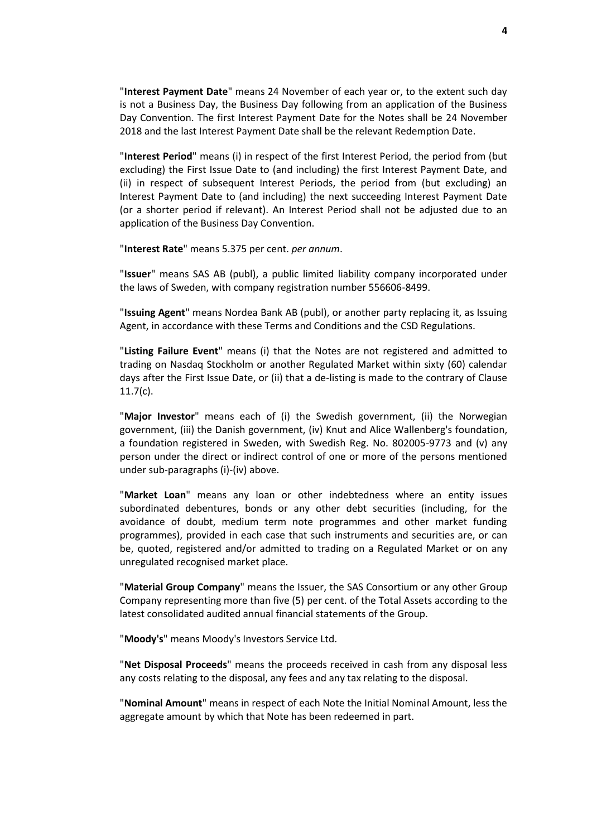"**Interest Payment Date**" means 24 November of each year or, to the extent such day is not a Business Day, the Business Day following from an application of the Business Day Convention. The first Interest Payment Date for the Notes shall be 24 November 2018 and the last Interest Payment Date shall be the relevant Redemption Date.

"**Interest Period**" means (i) in respect of the first Interest Period, the period from (but excluding) the First Issue Date to (and including) the first Interest Payment Date, and (ii) in respect of subsequent Interest Periods, the period from (but excluding) an Interest Payment Date to (and including) the next succeeding Interest Payment Date (or a shorter period if relevant). An Interest Period shall not be adjusted due to an application of the Business Day Convention.

"**Interest Rate**" means 5.375 per cent. *per annum*.

"**Issuer**" means SAS AB (publ), a public limited liability company incorporated under the laws of Sweden, with company registration number 556606-8499.

"**Issuing Agent**" means Nordea Bank AB (publ), or another party replacing it, as Issuing Agent, in accordance with these Terms and Conditions and the CSD Regulations.

"**Listing Failure Event**" means (i) that the Notes are not registered and admitted to trading on Nasdaq Stockholm or another Regulated Market within sixty (60) calendar days after the First Issue Date, or (ii) that a de-listing is made to the contrary of Clause  $11.7(c)$ .

"**Major Investor**" means each of (i) the Swedish government, (ii) the Norwegian government, (iii) the Danish government, (iv) Knut and Alice Wallenberg's foundation, a foundation registered in Sweden, with Swedish Reg. No. 802005-9773 and (v) any person under the direct or indirect control of one or more of the persons mentioned under sub-paragraphs (i)-(iv) above.

"**Market Loan**" means any loan or other indebtedness where an entity issues subordinated debentures, bonds or any other debt securities (including, for the avoidance of doubt, medium term note programmes and other market funding programmes), provided in each case that such instruments and securities are, or can be, quoted, registered and/or admitted to trading on a Regulated Market or on any unregulated recognised market place.

"**Material Group Company**" means the Issuer, the SAS Consortium or any other Group Company representing more than five (5) per cent. of the Total Assets according to the latest consolidated audited annual financial statements of the Group.

"**Moody's**" means Moody's Investors Service Ltd.

"**Net Disposal Proceeds**" means the proceeds received in cash from any disposal less any costs relating to the disposal, any fees and any tax relating to the disposal.

"**Nominal Amount**" means in respect of each Note the Initial Nominal Amount, less the aggregate amount by which that Note has been redeemed in part.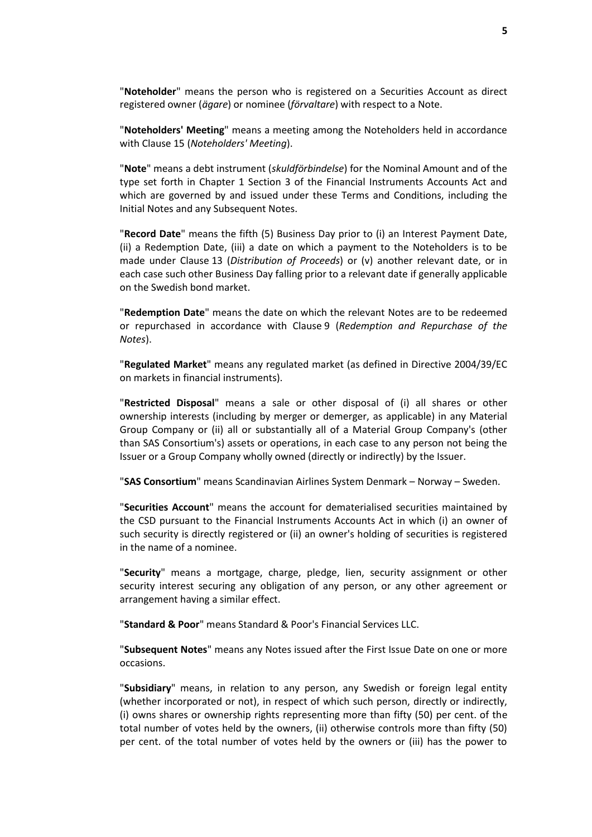"**Noteholder**" means the person who is registered on a Securities Account as direct registered owner (*ägare*) or nominee (*förvaltare*) with respect to a Note.

"**Noteholders' Meeting**" means a meeting among the Noteholders held in accordance with Clause [15](#page-25-0) (*[Noteholders'](#page-25-0) Meeting*).

"**Note**" means a debt instrument (*skuldförbindelse*) for the Nominal Amount and of the type set forth in Chapter 1 Section 3 of the Financial Instruments Accounts Act and which are governed by and issued under these Terms and Conditions, including the Initial Notes and any Subsequent Notes.

"**Record Date**" means the fifth (5) Business Day prior to (i) an Interest Payment Date, (ii) a Redemption Date, (iii) a date on which a payment to the Noteholders is to be made under Clause [13](#page-21-0) (*[Distribution of Proceeds](#page-21-0)*) or (v) another relevant date, or in each case such other Business Day falling prior to a relevant date if generally applicable on the Swedish bond market.

"**Redemption Date**" means the date on which the relevant Notes are to be redeemed or repurchased in accordance with Clause [9](#page-12-0) (*[Redemption and Repurchase of the](#page-12-0)  [Notes](#page-12-0)*).

"**Regulated Market**" means any regulated market (as defined in Directive 2004/39/EC on markets in financial instruments).

"**Restricted Disposal**" means a sale or other disposal of (i) all shares or other ownership interests (including by merger or demerger, as applicable) in any Material Group Company or (ii) all or substantially all of a Material Group Company's (other than SAS Consortium's) assets or operations, in each case to any person not being the Issuer or a Group Company wholly owned (directly or indirectly) by the Issuer.

"**SAS Consortium**" means Scandinavian Airlines System Denmark – Norway – Sweden.

"**Securities Account**" means the account for dematerialised securities maintained by the CSD pursuant to the Financial Instruments Accounts Act in which (i) an owner of such security is directly registered or (ii) an owner's holding of securities is registered in the name of a nominee.

"**Security**" means a mortgage, charge, pledge, lien, security assignment or other security interest securing any obligation of any person, or any other agreement or arrangement having a similar effect.

"**Standard & Poor**" means Standard & Poor's Financial Services LLC.

"**Subsequent Notes**" means any Notes issued after the First Issue Date on one or more occasions.

"**Subsidiary**" means, in relation to any person, any Swedish or foreign legal entity (whether incorporated or not), in respect of which such person, directly or indirectly, (i) owns shares or ownership rights representing more than fifty (50) per cent. of the total number of votes held by the owners, (ii) otherwise controls more than fifty (50) per cent. of the total number of votes held by the owners or (iii) has the power to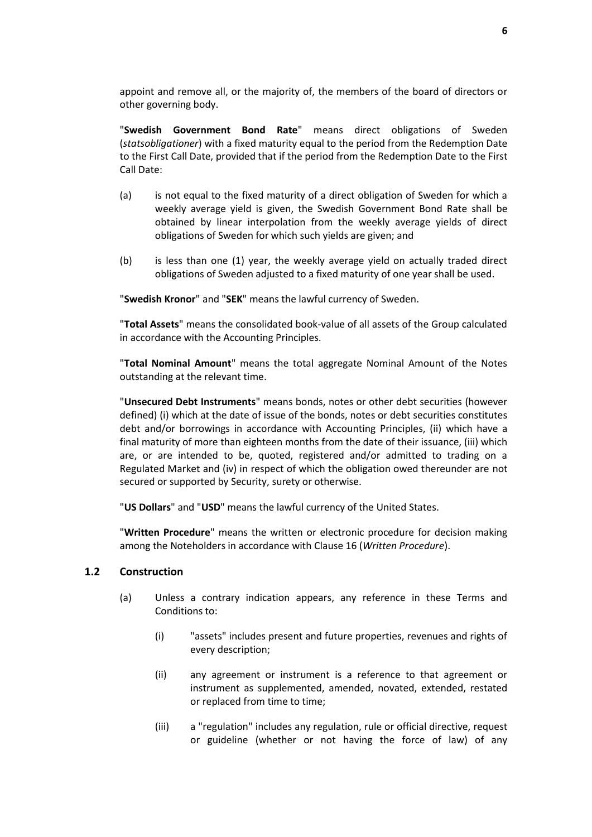appoint and remove all, or the majority of, the members of the board of directors or other governing body.

"**Swedish Government Bond Rate**" means direct obligations of Sweden (*statsobligationer*) with a fixed maturity equal to the period from the Redemption Date to the First Call Date, provided that if the period from the Redemption Date to the First Call Date:

- (a) is not equal to the fixed maturity of a direct obligation of Sweden for which a weekly average yield is given, the Swedish Government Bond Rate shall be obtained by linear interpolation from the weekly average yields of direct obligations of Sweden for which such yields are given; and
- (b) is less than one (1) year, the weekly average yield on actually traded direct obligations of Sweden adjusted to a fixed maturity of one year shall be used.

"**Swedish Kronor**" and "**SEK**" means the lawful currency of Sweden.

"**Total Assets**" means the consolidated book-value of all assets of the Group calculated in accordance with the Accounting Principles.

"**Total Nominal Amount**" means the total aggregate Nominal Amount of the Notes outstanding at the relevant time.

"**Unsecured Debt Instruments**" means bonds, notes or other debt securities (however defined) (i) which at the date of issue of the bonds, notes or debt securities constitutes debt and/or borrowings in accordance with Accounting Principles, (ii) which have a final maturity of more than eighteen months from the date of their issuance, (iii) which are, or are intended to be, quoted, registered and/or admitted to trading on a Regulated Market and (iv) in respect of which the obligation owed thereunder are not secured or supported by Security, surety or otherwise.

"**US Dollars**" and "**USD**" means the lawful currency of the United States.

"**Written Procedure**" means the written or electronic procedure for decision making among the Noteholders in accordance with Clause [16](#page-26-0) (*[Written Procedure](#page-26-0)*).

#### **1.2 Construction**

- (a) Unless a contrary indication appears, any reference in these Terms and Conditions to:
	- (i) "assets" includes present and future properties, revenues and rights of every description;
	- (ii) any agreement or instrument is a reference to that agreement or instrument as supplemented, amended, novated, extended, restated or replaced from time to time;
	- (iii) a "regulation" includes any regulation, rule or official directive, request or guideline (whether or not having the force of law) of any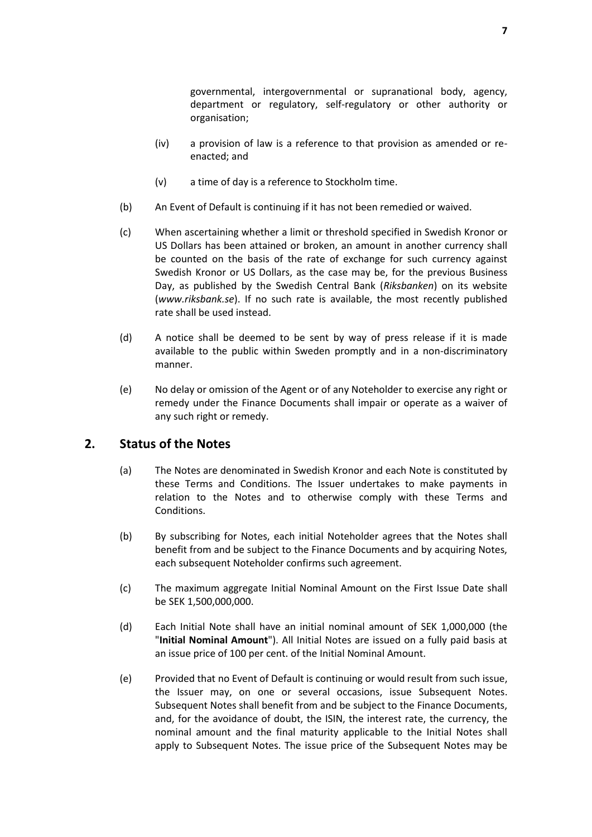governmental, intergovernmental or supranational body, agency, department or regulatory, self-regulatory or other authority or organisation;

- (iv) a provision of law is a reference to that provision as amended or reenacted; and
- (v) a time of day is a reference to Stockholm time.
- (b) An Event of Default is continuing if it has not been remedied or waived.
- (c) When ascertaining whether a limit or threshold specified in Swedish Kronor or US Dollars has been attained or broken, an amount in another currency shall be counted on the basis of the rate of exchange for such currency against Swedish Kronor or US Dollars, as the case may be, for the previous Business Day, as published by the Swedish Central Bank (*Riksbanken*) on its website (*www.riksbank.se*). If no such rate is available, the most recently published rate shall be used instead.
- (d) A notice shall be deemed to be sent by way of press release if it is made available to the public within Sweden promptly and in a non-discriminatory manner.
- (e) No delay or omission of the Agent or of any Noteholder to exercise any right or remedy under the Finance Documents shall impair or operate as a waiver of any such right or remedy.

# <span id="page-8-1"></span><span id="page-8-0"></span>**2. Status of the Notes**

- (a) The Notes are denominated in Swedish Kronor and each Note is constituted by these Terms and Conditions. The Issuer undertakes to make payments in relation to the Notes and to otherwise comply with these Terms and Conditions.
- (b) By subscribing for Notes, each initial Noteholder agrees that the Notes shall benefit from and be subject to the Finance Documents and by acquiring Notes, each subsequent Noteholder confirms such agreement.
- (c) The maximum aggregate Initial Nominal Amount on the First Issue Date shall be SEK 1,500,000,000.
- (d) Each Initial Note shall have an initial nominal amount of SEK 1,000,000 (the "**Initial Nominal Amount**"). All Initial Notes are issued on a fully paid basis at an issue price of 100 per cent. of the Initial Nominal Amount.
- (e) Provided that no Event of Default is continuing or would result from such issue, the Issuer may, on one or several occasions, issue Subsequent Notes. Subsequent Notes shall benefit from and be subject to the Finance Documents, and, for the avoidance of doubt, the ISIN, the interest rate, the currency, the nominal amount and the final maturity applicable to the Initial Notes shall apply to Subsequent Notes. The issue price of the Subsequent Notes may be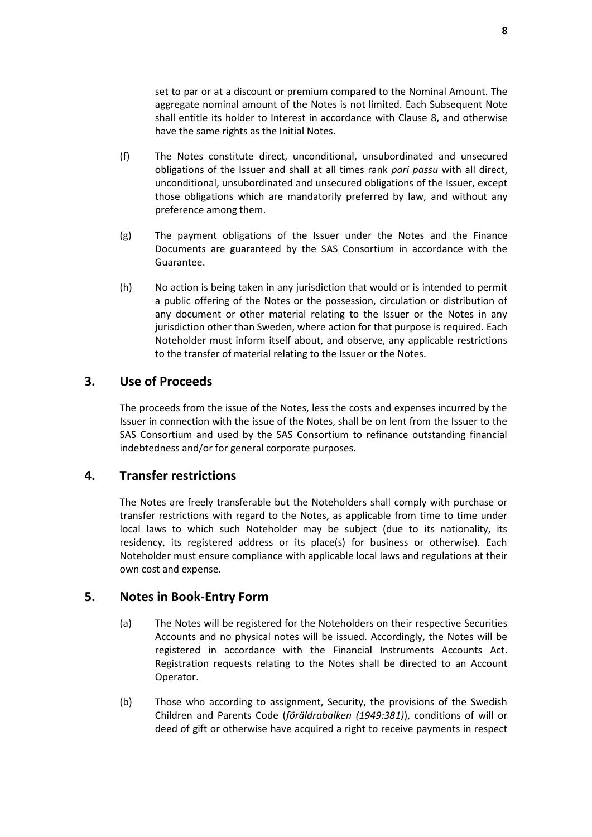set to par or at a discount or premium compared to the Nominal Amount. The aggregate nominal amount of the Notes is not limited. Each Subsequent Note shall entitle its holder to Interest in accordance with Clause [8,](#page-11-0) and otherwise have the same rights as the Initial Notes.

- <span id="page-9-3"></span>(f) The Notes constitute direct, unconditional, unsubordinated and unsecured obligations of the Issuer and shall at all times rank *pari passu* with all direct, unconditional, unsubordinated and unsecured obligations of the Issuer, except those obligations which are mandatorily preferred by law, and without any preference among them.
- (g) The payment obligations of the Issuer under the Notes and the Finance Documents are guaranteed by the SAS Consortium in accordance with the Guarantee.
- <span id="page-9-4"></span>(h) No action is being taken in any jurisdiction that would or is intended to permit a public offering of the Notes or the possession, circulation or distribution of any document or other material relating to the Issuer or the Notes in any jurisdiction other than Sweden, where action for that purpose is required. Each Noteholder must inform itself about, and observe, any applicable restrictions to the transfer of material relating to the Issuer or the Notes.

# <span id="page-9-0"></span>**3. Use of Proceeds**

The proceeds from the issue of the Notes, less the costs and expenses incurred by the Issuer in connection with the issue of the Notes, shall be on lent from the Issuer to the SAS Consortium and used by the SAS Consortium to refinance outstanding financial indebtedness and/or for general corporate purposes.

# <span id="page-9-1"></span>**4. Transfer restrictions**

The Notes are freely transferable but the Noteholders shall comply with purchase or transfer restrictions with regard to the Notes, as applicable from time to time under local laws to which such Noteholder may be subject (due to its nationality, its residency, its registered address or its place(s) for business or otherwise). Each Noteholder must ensure compliance with applicable local laws and regulations at their own cost and expense.

#### <span id="page-9-2"></span>**5. Notes in Book-Entry Form**

- (a) The Notes will be registered for the Noteholders on their respective Securities Accounts and no physical notes will be issued. Accordingly, the Notes will be registered in accordance with the Financial Instruments Accounts Act. Registration requests relating to the Notes shall be directed to an Account Operator.
- (b) Those who according to assignment, Security, the provisions of the Swedish Children and Parents Code (*föräldrabalken (1949:381)*), conditions of will or deed of gift or otherwise have acquired a right to receive payments in respect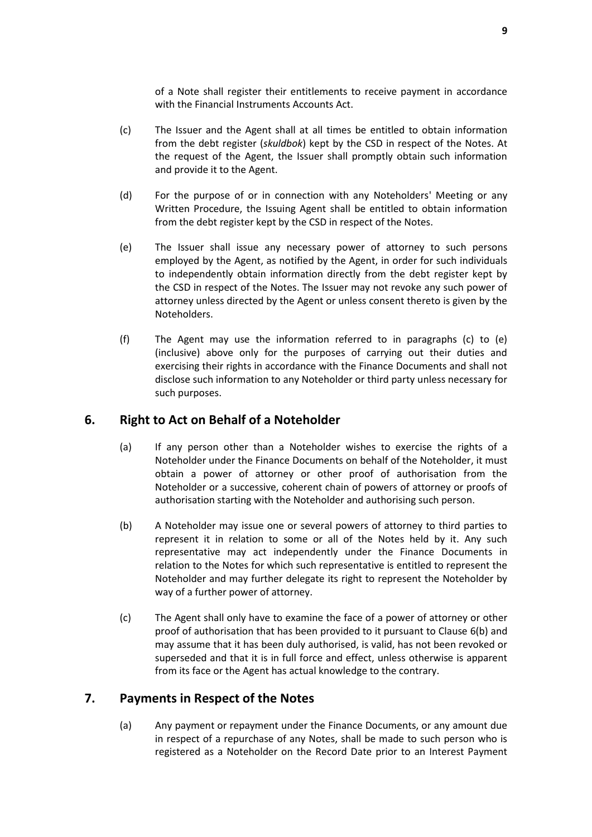of a Note shall register their entitlements to receive payment in accordance with the Financial Instruments Accounts Act.

- (c) The Issuer and the Agent shall at all times be entitled to obtain information from the debt register (*skuldbok*) kept by the CSD in respect of the Notes. At the request of the Agent, the Issuer shall promptly obtain such information and provide it to the Agent.
- (d) For the purpose of or in connection with any Noteholders' Meeting or any Written Procedure, the Issuing Agent shall be entitled to obtain information from the debt register kept by the CSD in respect of the Notes.
- (e) The Issuer shall issue any necessary power of attorney to such persons employed by the Agent, as notified by the Agent, in order for such individuals to independently obtain information directly from the debt register kept by the CSD in respect of the Notes. The Issuer may not revoke any such power of attorney unless directed by the Agent or unless consent thereto is given by the Noteholders.
- (f) The Agent may use the information referred to in paragraphs (c) to (e) (inclusive) above only for the purposes of carrying out their duties and exercising their rights in accordance with the Finance Documents and shall not disclose such information to any Noteholder or third party unless necessary for such purposes.

# <span id="page-10-0"></span>**6. Right to Act on Behalf of a Noteholder**

- (a) If any person other than a Noteholder wishes to exercise the rights of a Noteholder under the Finance Documents on behalf of the Noteholder, it must obtain a power of attorney or other proof of authorisation from the Noteholder or a successive, coherent chain of powers of attorney or proofs of authorisation starting with the Noteholder and authorising such person.
- <span id="page-10-2"></span>(b) A Noteholder may issue one or several powers of attorney to third parties to represent it in relation to some or all of the Notes held by it. Any such representative may act independently under the Finance Documents in relation to the Notes for which such representative is entitled to represent the Noteholder and may further delegate its right to represent the Noteholder by way of a further power of attorney.
- (c) The Agent shall only have to examine the face of a power of attorney or other proof of authorisation that has been provided to it pursuant to Clause [6\(b\)](#page-10-2) and may assume that it has been duly authorised, is valid, has not been revoked or superseded and that it is in full force and effect, unless otherwise is apparent from its face or the Agent has actual knowledge to the contrary.

# <span id="page-10-3"></span><span id="page-10-1"></span>**7. Payments in Respect of the Notes**

(a) Any payment or repayment under the Finance Documents, or any amount due in respect of a repurchase of any Notes, shall be made to such person who is registered as a Noteholder on the Record Date prior to an Interest Payment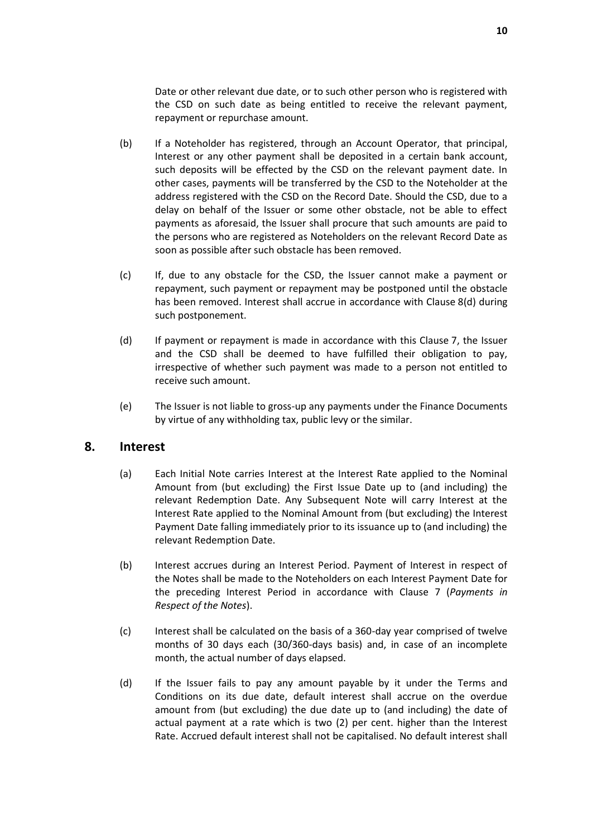Date or other relevant due date, or to such other person who is registered with the CSD on such date as being entitled to receive the relevant payment, repayment or repurchase amount.

- (b) If a Noteholder has registered, through an Account Operator, that principal, Interest or any other payment shall be deposited in a certain bank account, such deposits will be effected by the CSD on the relevant payment date. In other cases, payments will be transferred by the CSD to the Noteholder at the address registered with the CSD on the Record Date. Should the CSD, due to a delay on behalf of the Issuer or some other obstacle, not be able to effect payments as aforesaid, the Issuer shall procure that such amounts are paid to the persons who are registered as Noteholders on the relevant Record Date as soon as possible after such obstacle has been removed.
- (c) If, due to any obstacle for the CSD, the Issuer cannot make a payment or repayment, such payment or repayment may be postponed until the obstacle has been removed. Interest shall accrue in accordance with Clause [8\(d\)](#page-11-3) during such postponement.
- (d) If payment or repayment is made in accordance with this Clause [7,](#page-10-1) the Issuer and the CSD shall be deemed to have fulfilled their obligation to pay, irrespective of whether such payment was made to a person not entitled to receive such amount.
- (e) The Issuer is not liable to gross-up any payments under the Finance Documents by virtue of any withholding tax, public levy or the similar.

#### <span id="page-11-1"></span><span id="page-11-0"></span>**8. Interest**

- (a) Each Initial Note carries Interest at the Interest Rate applied to the Nominal Amount from (but excluding) the First Issue Date up to (and including) the relevant Redemption Date. Any Subsequent Note will carry Interest at the Interest Rate applied to the Nominal Amount from (but excluding) the Interest Payment Date falling immediately prior to its issuance up to (and including) the relevant Redemption Date.
- (b) Interest accrues during an Interest Period. Payment of Interest in respect of the Notes shall be made to the Noteholders on each Interest Payment Date for the preceding Interest Period in accordance with Clause [7](#page-10-1) (*[Payments in](#page-10-1)  [Respect of the Notes](#page-10-1)*).
- <span id="page-11-2"></span>(c) Interest shall be calculated on the basis of a 360-day year comprised of twelve months of 30 days each (30/360-days basis) and, in case of an incomplete month, the actual number of days elapsed.
- <span id="page-11-3"></span>(d) If the Issuer fails to pay any amount payable by it under the Terms and Conditions on its due date, default interest shall accrue on the overdue amount from (but excluding) the due date up to (and including) the date of actual payment at a rate which is two (2) per cent. higher than the Interest Rate. Accrued default interest shall not be capitalised. No default interest shall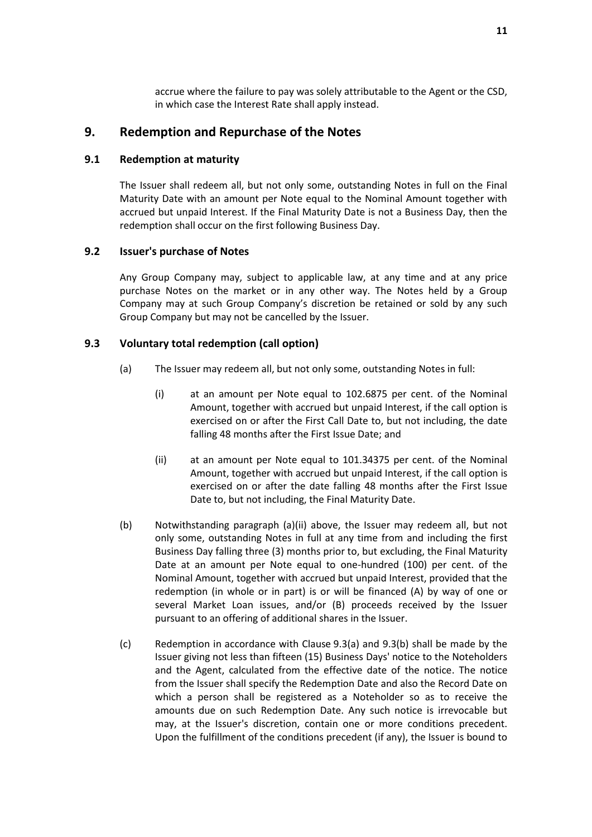accrue where the failure to pay was solely attributable to the Agent or the CSD, in which case the Interest Rate shall apply instead.

### <span id="page-12-0"></span>**9. Redemption and Repurchase of the Notes**

#### **9.1 Redemption at maturity**

The Issuer shall redeem all, but not only some, outstanding Notes in full on the Final Maturity Date with an amount per Note equal to the Nominal Amount together with accrued but unpaid Interest. If the Final Maturity Date is not a Business Day, then the redemption shall occur on the first following Business Day.

#### **9.2 Issuer's purchase of Notes**

Any Group Company may, subject to applicable law, at any time and at any price purchase Notes on the market or in any other way. The Notes held by a Group Company may at such Group Company's discretion be retained or sold by any such Group Company but may not be cancelled by the Issuer.

#### <span id="page-12-3"></span><span id="page-12-1"></span>**9.3 Voluntary total redemption (call option)**

- (a) The Issuer may redeem all, but not only some, outstanding Notes in full:
	- (i) at an amount per Note equal to 102.6875 per cent. of the Nominal Amount, together with accrued but unpaid Interest, if the call option is exercised on or after the First Call Date to, but not including, the date falling 48 months after the First Issue Date; and
	- (ii) at an amount per Note equal to 101.34375 per cent. of the Nominal Amount, together with accrued but unpaid Interest, if the call option is exercised on or after the date falling 48 months after the First Issue Date to, but not including, the Final Maturity Date.
- <span id="page-12-2"></span>(b) Notwithstanding paragraph (a)(ii) above, the Issuer may redeem all, but not only some, outstanding Notes in full at any time from and including the first Business Day falling three (3) months prior to, but excluding, the Final Maturity Date at an amount per Note equal to one-hundred (100) per cent. of the Nominal Amount, together with accrued but unpaid Interest, provided that the redemption (in whole or in part) is or will be financed (A) by way of one or several Market Loan issues, and/or (B) proceeds received by the Issuer pursuant to an offering of additional shares in the Issuer.
- (c) Redemption in accordance with Clause [9.3\(a\)](#page-12-1) and [9.3\(b\)](#page-12-2) shall be made by the Issuer giving not less than fifteen (15) Business Days' notice to the Noteholders and the Agent, calculated from the effective date of the notice. The notice from the Issuer shall specify the Redemption Date and also the Record Date on which a person shall be registered as a Noteholder so as to receive the amounts due on such Redemption Date. Any such notice is irrevocable but may, at the Issuer's discretion, contain one or more conditions precedent. Upon the fulfillment of the conditions precedent (if any), the Issuer is bound to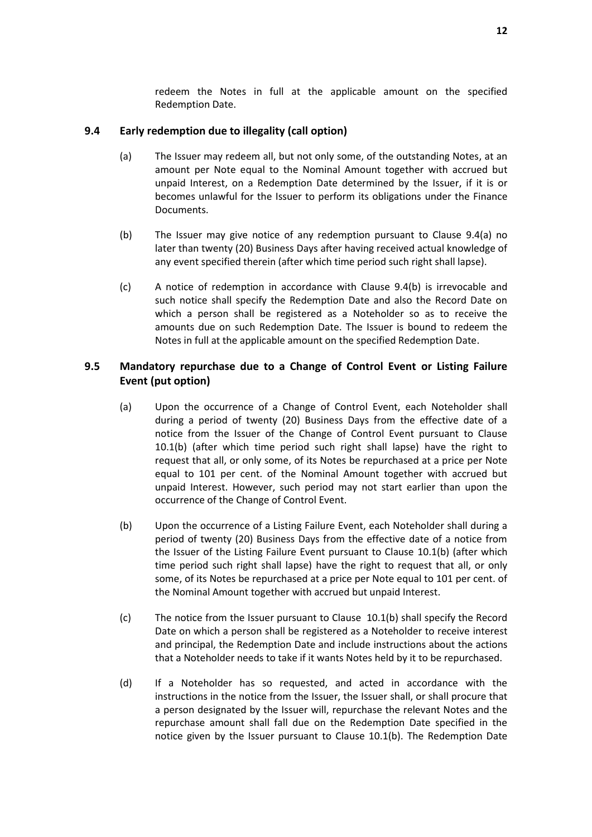redeem the Notes in full at the applicable amount on the specified Redemption Date.

#### <span id="page-13-0"></span>**9.4 Early redemption due to illegality (call option)**

- (a) The Issuer may redeem all, but not only some, of the outstanding Notes, at an amount per Note equal to the Nominal Amount together with accrued but unpaid Interest, on a Redemption Date determined by the Issuer, if it is or becomes unlawful for the Issuer to perform its obligations under the Finance Documents.
- <span id="page-13-1"></span>(b) The Issuer may give notice of any redemption pursuant to Clause [9.4\(a\)](#page-13-0) no later than twenty (20) Business Days after having received actual knowledge of any event specified therein (after which time period such right shall lapse).
- (c) A notice of redemption in accordance with Clause [9.4\(b\)](#page-13-1) is irrevocable and such notice shall specify the Redemption Date and also the Record Date on which a person shall be registered as a Noteholder so as to receive the amounts due on such Redemption Date. The Issuer is bound to redeem the Notes in full at the applicable amount on the specified Redemption Date.

#### <span id="page-13-2"></span>**9.5 Mandatory repurchase due to a Change of Control Event or Listing Failure Event (put option)**

- (a) Upon the occurrence of a Change of Control Event, each Noteholder shall during a period of twenty (20) Business Days from the effective date of a notice from the Issuer of the Change of Control Event pursuant to Clause [10.1\(b\)](#page-15-1) (after which time period such right shall lapse) have the right to request that all, or only some, of its Notes be repurchased at a price per Note equal to 101 per cent. of the Nominal Amount together with accrued but unpaid Interest. However, such period may not start earlier than upon the occurrence of the Change of Control Event.
- (b) Upon the occurrence of a Listing Failure Event, each Noteholder shall during a period of twenty (20) Business Days from the effective date of a notice from the Issuer of the Listing Failure Event pursuant to Clause [10.1\(b\)](#page-15-1) (after which time period such right shall lapse) have the right to request that all, or only some, of its Notes be repurchased at a price per Note equal to 101 per cent. of the Nominal Amount together with accrued but unpaid Interest.
- (c) The notice from the Issuer pursuant to Clause [10.1\(b\)](#page-15-1) shall specify the Record Date on which a person shall be registered as a Noteholder to receive interest and principal, the Redemption Date and include instructions about the actions that a Noteholder needs to take if it wants Notes held by it to be repurchased.
- (d) If a Noteholder has so requested, and acted in accordance with the instructions in the notice from the Issuer, the Issuer shall, or shall procure that a person designated by the Issuer will, repurchase the relevant Notes and the repurchase amount shall fall due on the Redemption Date specified in the notice given by the Issuer pursuant to Clause [10.1\(b\).](#page-15-1) The Redemption Date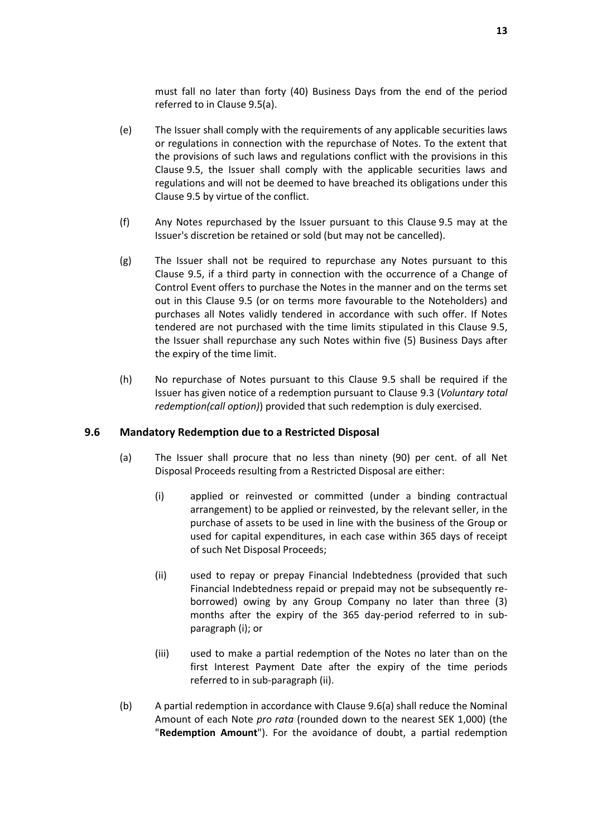must fall no later than forty (40) Business Days from the end of the period referred to in Clause [9.5\(a\).](#page-13-2)

- (e) The Issuer shall comply with the requirements of any applicable securities laws or regulations in connection with the repurchase of Notes. To the extent that the provisions of such laws and regulations conflict with the provisions in this Clause [9.5,](#page-13-2) the Issuer shall comply with the applicable securities laws and regulations and will not be deemed to have breached its obligations under this Clause [9.5](#page-13-2) by virtue of the conflict.
- (f) Any Notes repurchased by the Issuer pursuant to this Clause [9.5](#page-13-2) may at the Issuer's discretion be retained or sold (but may not be cancelled).
- (g) The Issuer shall not be required to repurchase any Notes pursuant to this Clause [9.5,](#page-13-2) if a third party in connection with the occurrence of a Change of Control Event offers to purchase the Notes in the manner and on the terms set out in this Clause [9.5](#page-13-2) (or on terms more favourable to the Noteholders) and purchases all Notes validly tendered in accordance with such offer. If Notes tendered are not purchased with the time limits stipulated in this Clause [9.5,](#page-13-2) the Issuer shall repurchase any such Notes within five (5) Business Days after the expiry of the time limit.
- (h) No repurchase of Notes pursuant to this Clause [9.5](#page-13-2) shall be required if the Issuer has given notice of a redemption pursuant to Claus[e 9.3](#page-12-3) (*Voluntary total redemption(call option)*) provided that such redemption is duly exercised.

#### <span id="page-14-0"></span>**9.6 Mandatory Redemption due to a Restricted Disposal**

- (a) The Issuer shall procure that no less than ninety (90) per cent. of all Net Disposal Proceeds resulting from a Restricted Disposal are either:
	- (i) applied or reinvested or committed (under a binding contractual arrangement) to be applied or reinvested, by the relevant seller, in the purchase of assets to be used in line with the business of the Group or used for capital expenditures, in each case within 365 days of receipt of such Net Disposal Proceeds;
	- (ii) used to repay or prepay Financial Indebtedness (provided that such Financial Indebtedness repaid or prepaid may not be subsequently reborrowed) owing by any Group Company no later than three (3) months after the expiry of the 365 day-period referred to in subparagraph (i); or
	- (iii) used to make a partial redemption of the Notes no later than on the first Interest Payment Date after the expiry of the time periods referred to in sub-paragraph (ii).
- <span id="page-14-1"></span>(b) A partial redemption in accordance with Clause [9.6\(a\)](#page-14-0) shall reduce the Nominal Amount of each Note *pro rata* (rounded down to the nearest SEK 1,000) (the "**Redemption Amount**"). For the avoidance of doubt, a partial redemption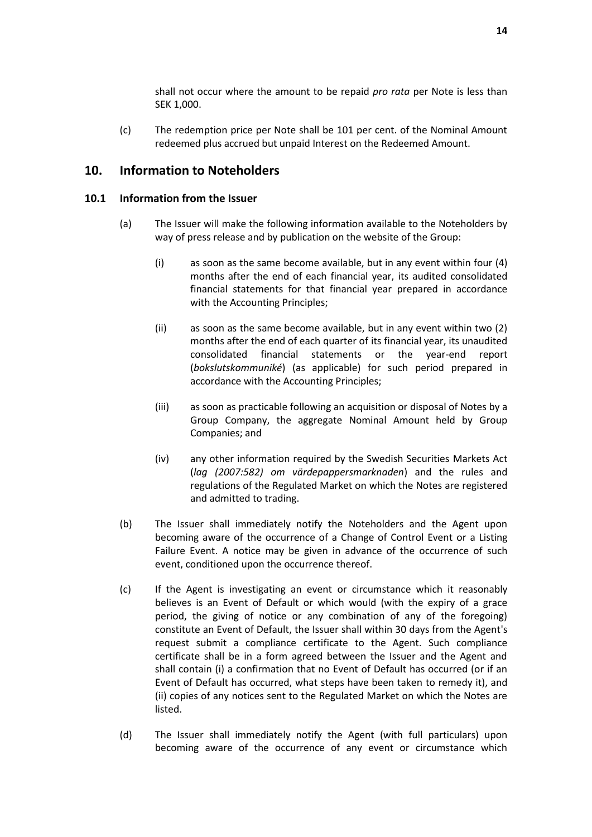shall not occur where the amount to be repaid *pro rata* per Note is less than SEK 1,000.

(c) The redemption price per Note shall be 101 per cent. of the Nominal Amount redeemed plus accrued but unpaid Interest on the Redeemed Amount.

# <span id="page-15-0"></span>**10. Information to Noteholders**

#### <span id="page-15-2"></span>**10.1 Information from the Issuer**

- (a) The Issuer will make the following information available to the Noteholders by way of press release and by publication on the website of the Group:
	- (i) as soon as the same become available, but in any event within four (4) months after the end of each financial year, its audited consolidated financial statements for that financial year prepared in accordance with the Accounting Principles;
	- (ii) as soon as the same become available, but in any event within two (2) months after the end of each quarter of its financial year, its unaudited consolidated financial statements or the year-end report (*bokslutskommuniké*) (as applicable) for such period prepared in accordance with the Accounting Principles;
	- (iii) as soon as practicable following an acquisition or disposal of Notes by a Group Company, the aggregate Nominal Amount held by Group Companies; and
	- (iv) any other information required by the Swedish Securities Markets Act (*lag (2007:582) om värdepappersmarknaden*) and the rules and regulations of the Regulated Market on which the Notes are registered and admitted to trading.
- <span id="page-15-1"></span>(b) The Issuer shall immediately notify the Noteholders and the Agent upon becoming aware of the occurrence of a Change of Control Event or a Listing Failure Event. A notice may be given in advance of the occurrence of such event, conditioned upon the occurrence thereof.
- (c) If the Agent is investigating an event or circumstance which it reasonably believes is an Event of Default or which would (with the expiry of a grace period, the giving of notice or any combination of any of the foregoing) constitute an Event of Default, the Issuer shall within 30 days from the Agent's request submit a compliance certificate to the Agent. Such compliance certificate shall be in a form agreed between the Issuer and the Agent and shall contain (i) a confirmation that no Event of Default has occurred (or if an Event of Default has occurred, what steps have been taken to remedy it), and (ii) copies of any notices sent to the Regulated Market on which the Notes are listed.
- (d) The Issuer shall immediately notify the Agent (with full particulars) upon becoming aware of the occurrence of any event or circumstance which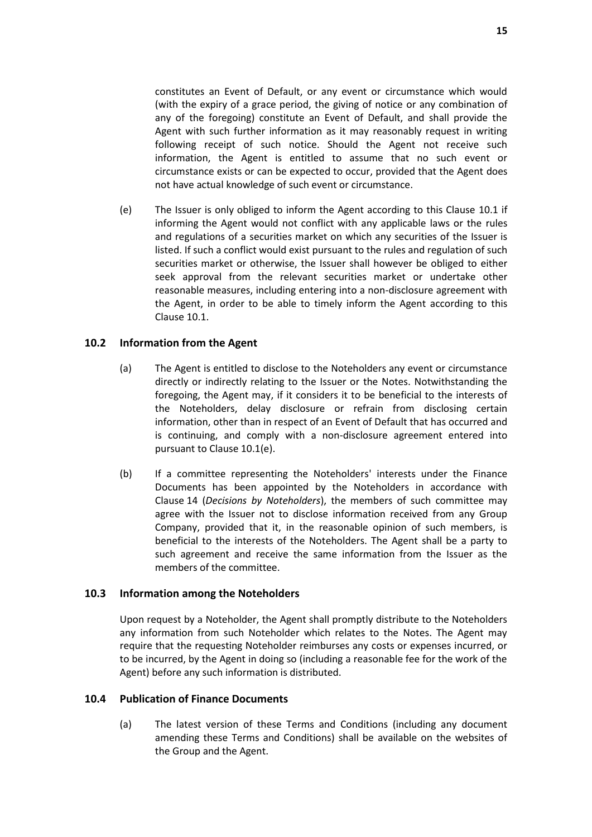constitutes an Event of Default, or any event or circumstance which would (with the expiry of a grace period, the giving of notice or any combination of any of the foregoing) constitute an Event of Default, and shall provide the Agent with such further information as it may reasonably request in writing following receipt of such notice. Should the Agent not receive such information, the Agent is entitled to assume that no such event or circumstance exists or can be expected to occur, provided that the Agent does not have actual knowledge of such event or circumstance.

<span id="page-16-0"></span>(e) The Issuer is only obliged to inform the Agent according to this Clause [10.1](#page-15-2) if informing the Agent would not conflict with any applicable laws or the rules and regulations of a securities market on which any securities of the Issuer is listed. If such a conflict would exist pursuant to the rules and regulation of such securities market or otherwise, the Issuer shall however be obliged to either seek approval from the relevant securities market or undertake other reasonable measures, including entering into a non-disclosure agreement with the Agent, in order to be able to timely inform the Agent according to this Claus[e 10.1.](#page-15-2)

#### **10.2 Information from the Agent**

- (a) The Agent is entitled to disclose to the Noteholders any event or circumstance directly or indirectly relating to the Issuer or the Notes. Notwithstanding the foregoing, the Agent may, if it considers it to be beneficial to the interests of the Noteholders, delay disclosure or refrain from disclosing certain information, other than in respect of an Event of Default that has occurred and is continuing, and comply with a non-disclosure agreement entered into pursuant to Clause [10.1\(e\).](#page-16-0)
- (b) If a committee representing the Noteholders' interests under the Finance Documents has been appointed by the Noteholders in accordance with Clause [14](#page-22-0) (*Decisions by Noteholders*), the members of such committee may agree with the Issuer not to disclose information received from any Group Company, provided that it, in the reasonable opinion of such members, is beneficial to the interests of the Noteholders. The Agent shall be a party to such agreement and receive the same information from the Issuer as the members of the committee.

#### **10.3 Information among the Noteholders**

Upon request by a Noteholder, the Agent shall promptly distribute to the Noteholders any information from such Noteholder which relates to the Notes. The Agent may require that the requesting Noteholder reimburses any costs or expenses incurred, or to be incurred, by the Agent in doing so (including a reasonable fee for the work of the Agent) before any such information is distributed.

#### <span id="page-16-1"></span>**10.4 Publication of Finance Documents**

(a) The latest version of these Terms and Conditions (including any document amending these Terms and Conditions) shall be available on the websites of the Group and the Agent.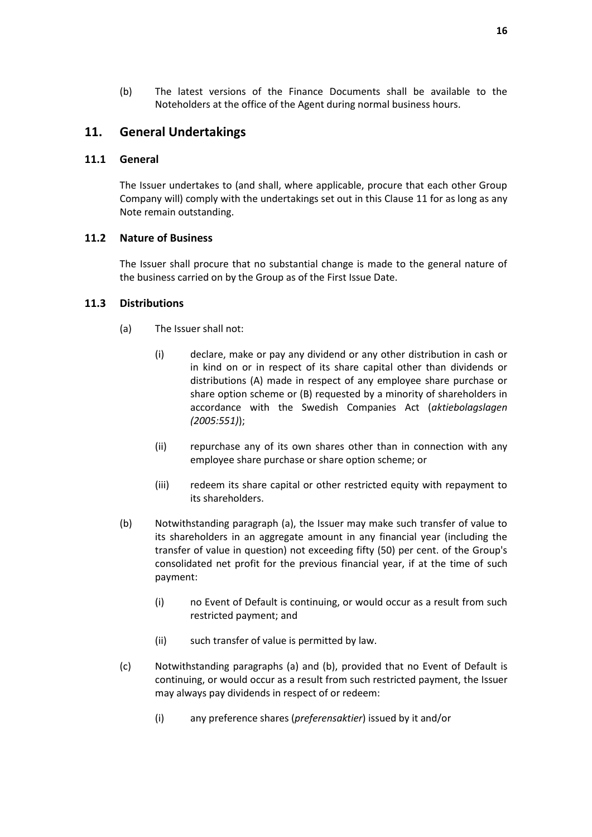(b) The latest versions of the Finance Documents shall be available to the Noteholders at the office of the Agent during normal business hours.

### <span id="page-17-0"></span>**11. General Undertakings**

#### **11.1 General**

The Issuer undertakes to (and shall, where applicable, procure that each other Group Company will) comply with the undertakings set out in this Clause [11](#page-17-0) for as long as any Note remain outstanding.

#### **11.2 Nature of Business**

The Issuer shall procure that no substantial change is made to the general nature of the business carried on by the Group as of the First Issue Date.

#### **11.3 Distributions**

- (a) The Issuer shall not:
	- (i) declare, make or pay any dividend or any other distribution in cash or in kind on or in respect of its share capital other than dividends or distributions (A) made in respect of any employee share purchase or share option scheme or (B) requested by a minority of shareholders in accordance with the Swedish Companies Act (*aktiebolagslagen (2005:551)*);
	- (ii) repurchase any of its own shares other than in connection with any employee share purchase or share option scheme; or
	- (iii) redeem its share capital or other restricted equity with repayment to its shareholders.
- <span id="page-17-1"></span>(b) Notwithstanding paragraph (a), the Issuer may make such transfer of value to its shareholders in an aggregate amount in any financial year (including the transfer of value in question) not exceeding fifty (50) per cent. of the Group's consolidated net profit for the previous financial year, if at the time of such payment:
	- (i) no Event of Default is continuing, or would occur as a result from such restricted payment; and
	- (ii) such transfer of value is permitted by law.
- (c) Notwithstanding paragraphs (a) and (b), provided that no Event of Default is continuing, or would occur as a result from such restricted payment, the Issuer may always pay dividends in respect of or redeem:
	- (i) any preference shares (*preferensaktier*) issued by it and/or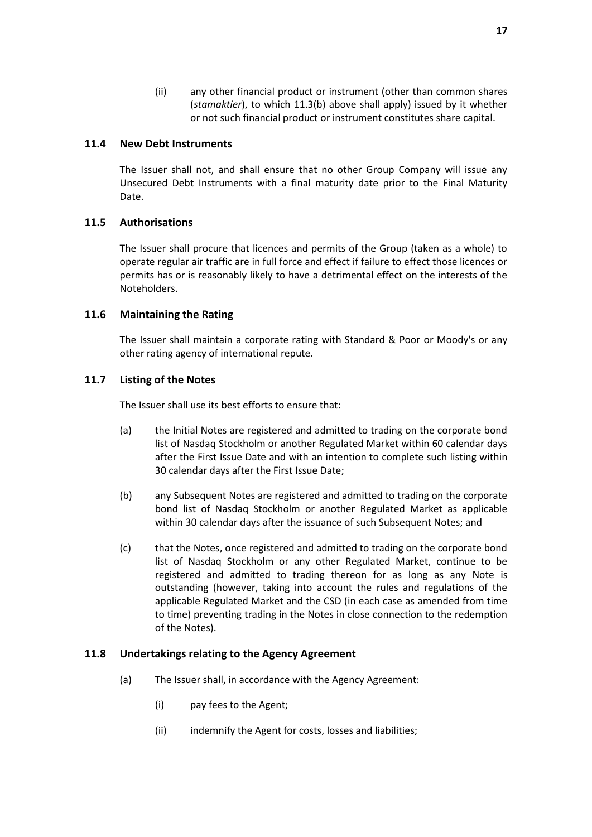(ii) any other financial product or instrument (other than common shares (*stamaktier*), to which [11.3\(b\)](#page-17-1) above shall apply) issued by it whether or not such financial product or instrument constitutes share capital.

#### **11.4 New Debt Instruments**

The Issuer shall not, and shall ensure that no other Group Company will issue any Unsecured Debt Instruments with a final maturity date prior to the Final Maturity Date.

#### **11.5 Authorisations**

The Issuer shall procure that licences and permits of the Group (taken as a whole) to operate regular air traffic are in full force and effect if failure to effect those licences or permits has or is reasonably likely to have a detrimental effect on the interests of the Noteholders.

#### **11.6 Maintaining the Rating**

The Issuer shall maintain a corporate rating with Standard & Poor or Moody's or any other rating agency of international repute.

#### <span id="page-18-1"></span>**11.7 Listing of the Notes**

The Issuer shall use its best efforts to ensure that:

- (a) the Initial Notes are registered and admitted to trading on the corporate bond list of Nasdaq Stockholm or another Regulated Market within 60 calendar days after the First Issue Date and with an intention to complete such listing within 30 calendar days after the First Issue Date;
- (b) any Subsequent Notes are registered and admitted to trading on the corporate bond list of Nasdaq Stockholm or another Regulated Market as applicable within 30 calendar days after the issuance of such Subsequent Notes; and
- <span id="page-18-0"></span>(c) that the Notes, once registered and admitted to trading on the corporate bond list of Nasdaq Stockholm or any other Regulated Market, continue to be registered and admitted to trading thereon for as long as any Note is outstanding (however, taking into account the rules and regulations of the applicable Regulated Market and the CSD (in each case as amended from time to time) preventing trading in the Notes in close connection to the redemption of the Notes).

#### **11.8 Undertakings relating to the Agency Agreement**

- (a) The Issuer shall, in accordance with the Agency Agreement:
	- (i) pay fees to the Agent;
	- (ii) indemnify the Agent for costs, losses and liabilities;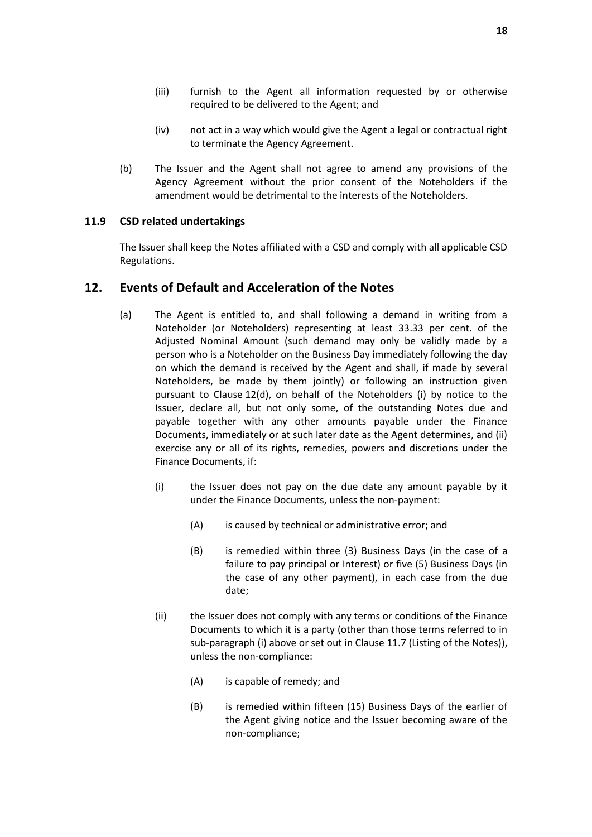- (iv) not act in a way which would give the Agent a legal or contractual right to terminate the Agency Agreement.
- (b) The Issuer and the Agent shall not agree to amend any provisions of the Agency Agreement without the prior consent of the Noteholders if the amendment would be detrimental to the interests of the Noteholders.

### **11.9 CSD related undertakings**

The Issuer shall keep the Notes affiliated with a CSD and comply with all applicable CSD Regulations.

# <span id="page-19-1"></span><span id="page-19-0"></span>**12. Events of Default and Acceleration of the Notes**

- (a) The Agent is entitled to, and shall following a demand in writing from a Noteholder (or Noteholders) representing at least 33.33 per cent. of the Adjusted Nominal Amount (such demand may only be validly made by a person who is a Noteholder on the Business Day immediately following the day on which the demand is received by the Agent and shall, if made by several Noteholders, be made by them jointly) or following an instruction given pursuant to Clause [12\(d\),](#page-19-0) on behalf of the Noteholders (i) by notice to the Issuer, declare all, but not only some, of the outstanding Notes due and payable together with any other amounts payable under the Finance Documents, immediately or at such later date as the Agent determines, and (ii) exercise any or all of its rights, remedies, powers and discretions under the Finance Documents, if:
	- (i) the Issuer does not pay on the due date any amount payable by it under the Finance Documents, unless the non-payment:
		- (A) is caused by technical or administrative error; and
		- (B) is remedied within three (3) Business Days (in the case of a failure to pay principal or Interest) or five (5) Business Days (in the case of any other payment), in each case from the due date;
	- (ii) the Issuer does not comply with any terms or conditions of the Finance Documents to which it is a party (other than those terms referred to in sub-paragraph (i) above or set out in Clause [11.7](#page-18-1) [\(Listing of the Notes\)](#page-18-1)), unless the non-compliance:
		- (A) is capable of remedy; and
		- (B) is remedied within fifteen (15) Business Days of the earlier of the Agent giving notice and the Issuer becoming aware of the non-compliance;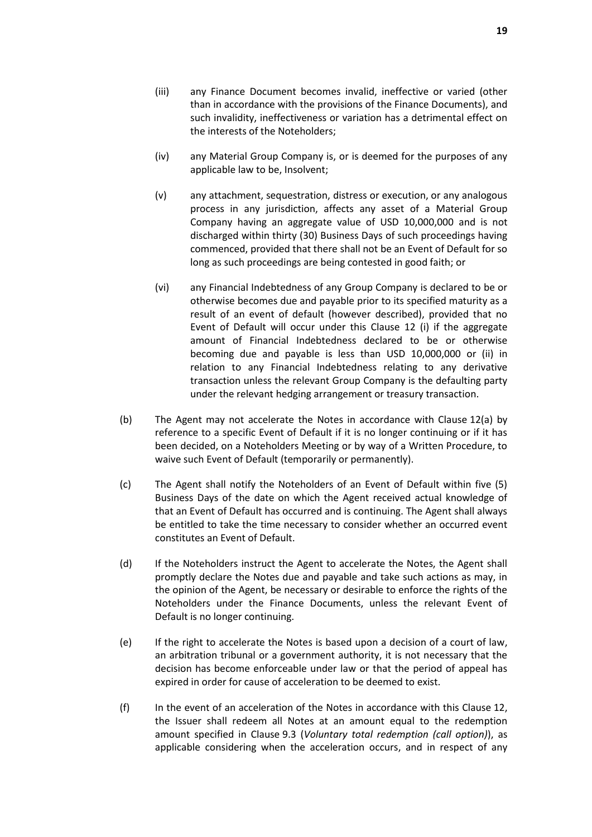- (iii) any Finance Document becomes invalid, ineffective or varied (other than in accordance with the provisions of the Finance Documents), and such invalidity, ineffectiveness or variation has a detrimental effect on the interests of the Noteholders;
- (iv) any Material Group Company is, or is deemed for the purposes of any applicable law to be, Insolvent;
- (v) any attachment, sequestration, distress or execution, or any analogous process in any jurisdiction, affects any asset of a Material Group Company having an aggregate value of USD 10,000,000 and is not discharged within thirty (30) Business Days of such proceedings having commenced, provided that there shall not be an Event of Default for so long as such proceedings are being contested in good faith; or
- (vi) any Financial Indebtedness of any Group Company is declared to be or otherwise becomes due and payable prior to its specified maturity as a result of an event of default (however described), provided that no Event of Default will occur under this Clause [12](#page-19-0) (i) if the aggregate amount of Financial Indebtedness declared to be or otherwise becoming due and payable is less than USD 10,000,000 or (ii) in relation to any Financial Indebtedness relating to any derivative transaction unless the relevant Group Company is the defaulting party under the relevant hedging arrangement or treasury transaction.
- (b) The Agent may not accelerate the Notes in accordance with Clause [12\(a\)](#page-19-1) by reference to a specific Event of Default if it is no longer continuing or if it has been decided, on a Noteholders Meeting or by way of a Written Procedure, to waive such Event of Default (temporarily or permanently).
- (c) The Agent shall notify the Noteholders of an Event of Default within five (5) Business Days of the date on which the Agent received actual knowledge of that an Event of Default has occurred and is continuing. The Agent shall always be entitled to take the time necessary to consider whether an occurred event constitutes an Event of Default.
- (d) If the Noteholders instruct the Agent to accelerate the Notes, the Agent shall promptly declare the Notes due and payable and take such actions as may, in the opinion of the Agent, be necessary or desirable to enforce the rights of the Noteholders under the Finance Documents, unless the relevant Event of Default is no longer continuing.
- (e) If the right to accelerate the Notes is based upon a decision of a court of law, an arbitration tribunal or a government authority, it is not necessary that the decision has become enforceable under law or that the period of appeal has expired in order for cause of acceleration to be deemed to exist.
- (f) In the event of an acceleration of the Notes in accordance with this Clause [12,](#page-19-0) the Issuer shall redeem all Notes at an amount equal to the redemption amount specified in Clause [9.3](#page-12-3) (*[Voluntary total redemption \(call option\)](#page-12-3)*), as applicable considering when the acceleration occurs, and in respect of any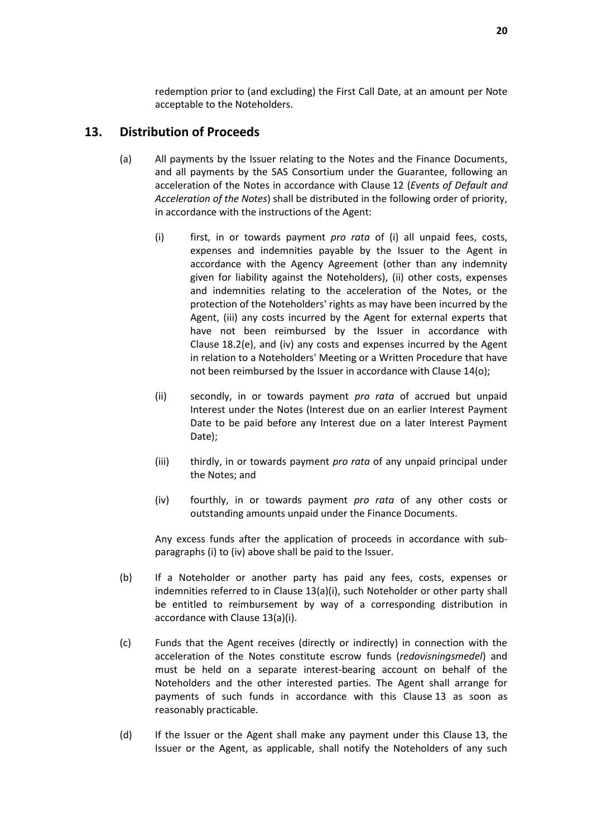redemption prior to (and excluding) the First Call Date, at an amount per Note acceptable to the Noteholders.

# <span id="page-21-0"></span>**13. Distribution of Proceeds**

- <span id="page-21-1"></span>(a) All payments by the Issuer relating to the Notes and the Finance Documents, and all payments by the SAS Consortium under the Guarantee, following an acceleration of the Notes in accordance with Clause [12](#page-19-0) (*[Events of Default and](#page-19-0) [Acceleration of the Notes](#page-19-0)*) shall be distributed in the following order of priority, in accordance with the instructions of the Agent:
	- (i) first, in or towards payment *pro rata* of (i) all unpaid fees, costs, expenses and indemnities payable by the Issuer to the Agent in accordance with the Agency Agreement (other than any indemnity given for liability against the Noteholders), (ii) other costs, expenses and indemnities relating to the acceleration of the Notes, or the protection of the Noteholders' rights as may have been incurred by the Agent, (iii) any costs incurred by the Agent for external experts that have not been reimbursed by the Issuer in accordance with Clause [18.2\(e\),](#page-28-0) and (iv) any costs and expenses incurred by the Agent in relation to a Noteholders' Meeting or a Written Procedure that have not been reimbursed by the Issuer in accordance with Clause [14\(o\);](#page-25-1)
	- (ii) secondly, in or towards payment *pro rata* of accrued but unpaid Interest under the Notes (Interest due on an earlier Interest Payment Date to be paid before any Interest due on a later Interest Payment Date);
	- (iii) thirdly, in or towards payment *pro rata* of any unpaid principal under the Notes; and
	- (iv) fourthly, in or towards payment *pro rata* of any other costs or outstanding amounts unpaid under the Finance Documents.

Any excess funds after the application of proceeds in accordance with subparagraphs (i) to (iv) above shall be paid to the Issuer.

- (b) If a Noteholder or another party has paid any fees, costs, expenses or indemnities referred to in Clause [13\(a\)\(i\),](#page-21-1) such Noteholder or other party shall be entitled to reimbursement by way of a corresponding distribution in accordance with Claus[e 13\(a\)\(i\).](#page-21-1)
- (c) Funds that the Agent receives (directly or indirectly) in connection with the acceleration of the Notes constitute escrow funds (*redovisningsmedel*) and must be held on a separate interest-bearing account on behalf of the Noteholders and the other interested parties. The Agent shall arrange for payments of such funds in accordance with this Clause [13](#page-21-0) as soon as reasonably practicable.
- (d) If the Issuer or the Agent shall make any payment under this Clause [13,](#page-21-0) the Issuer or the Agent, as applicable, shall notify the Noteholders of any such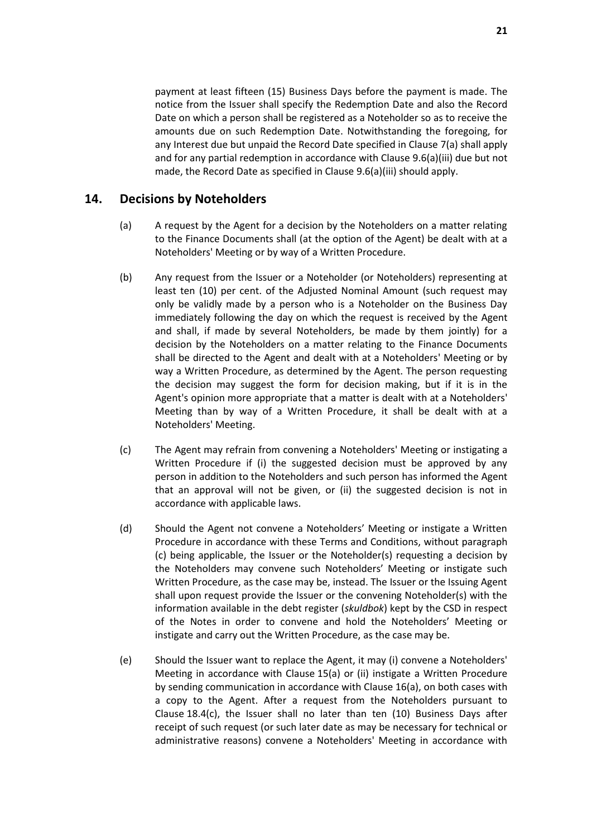payment at least fifteen (15) Business Days before the payment is made. The notice from the Issuer shall specify the Redemption Date and also the Record Date on which a person shall be registered as a Noteholder so as to receive the amounts due on such Redemption Date. Notwithstanding the foregoing, for any Interest due but unpaid the Record Date specified in Clause [7\(a\)](#page-10-3) shall apply and for any partial redemption in accordance with Clause [9.6\(a\)\(iii\)](#page-14-1) due but not made, the Record Date as specified in Claus[e 9.6\(a\)\(iii\)](#page-14-1) should apply.

### <span id="page-22-0"></span>**14. Decisions by Noteholders**

- (a) A request by the Agent for a decision by the Noteholders on a matter relating to the Finance Documents shall (at the option of the Agent) be dealt with at a Noteholders' Meeting or by way of a Written Procedure.
- (b) Any request from the Issuer or a Noteholder (or Noteholders) representing at least ten (10) per cent. of the Adjusted Nominal Amount (such request may only be validly made by a person who is a Noteholder on the Business Day immediately following the day on which the request is received by the Agent and shall, if made by several Noteholders, be made by them jointly) for a decision by the Noteholders on a matter relating to the Finance Documents shall be directed to the Agent and dealt with at a Noteholders' Meeting or by way a Written Procedure, as determined by the Agent. The person requesting the decision may suggest the form for decision making, but if it is in the Agent's opinion more appropriate that a matter is dealt with at a Noteholders' Meeting than by way of a Written Procedure, it shall be dealt with at a Noteholders' Meeting.
- (c) The Agent may refrain from convening a Noteholders' Meeting or instigating a Written Procedure if (i) the suggested decision must be approved by any person in addition to the Noteholders and such person has informed the Agent that an approval will not be given, or (ii) the suggested decision is not in accordance with applicable laws.
- (d) Should the Agent not convene a Noteholders' Meeting or instigate a Written Procedure in accordance with these Terms and Conditions, without paragraph (c) being applicable, the Issuer or the Noteholder(s) requesting a decision by the Noteholders may convene such Noteholders' Meeting or instigate such Written Procedure, as the case may be, instead. The Issuer or the Issuing Agent shall upon request provide the Issuer or the convening Noteholder(s) with the information available in the debt register (*skuldbok*) kept by the CSD in respect of the Notes in order to convene and hold the Noteholders' Meeting or instigate and carry out the Written Procedure, as the case may be.
- (e) Should the Issuer want to replace the Agent, it may (i) convene a Noteholders' Meeting in accordance with Clause [15\(a\)](#page-25-2) or (ii) instigate a Written Procedure by sending communication in accordance with Clause [16\(a\),](#page-26-1) on both cases with a copy to the Agent. After a request from the Noteholders pursuant to Clause [18.4\(c\),](#page-30-0) the Issuer shall no later than ten (10) Business Days after receipt of such request (or such later date as may be necessary for technical or administrative reasons) convene a Noteholders' Meeting in accordance with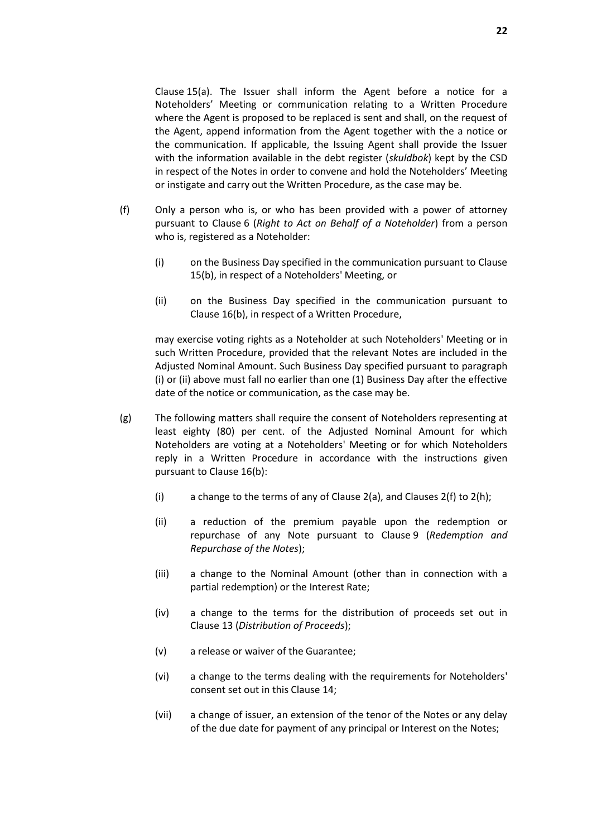Clause [15\(a\).](#page-25-2) The Issuer shall inform the Agent before a notice for a Noteholders' Meeting or communication relating to a Written Procedure where the Agent is proposed to be replaced is sent and shall, on the request of the Agent, append information from the Agent together with the a notice or the communication. If applicable, the Issuing Agent shall provide the Issuer with the information available in the debt register (*skuldbok*) kept by the CSD in respect of the Notes in order to convene and hold the Noteholders' Meeting or instigate and carry out the Written Procedure, as the case may be.

- <span id="page-23-1"></span>(f) Only a person who is, or who has been provided with a power of attorney pursuant to Clause [6](#page-10-0) (*[Right to Act on Behalf of a Noteholder](#page-10-0)*) from a person who is, registered as a Noteholder:
	- (i) on the Business Day specified in the communication pursuant to Clause [15\(b\),](#page-26-2) in respect of a Noteholders' Meeting, or
	- (ii) on the Business Day specified in the communication pursuant to Clause [16\(b\),](#page-26-3) in respect of a Written Procedure,

may exercise voting rights as a Noteholder at such Noteholders' Meeting or in such Written Procedure, provided that the relevant Notes are included in the Adjusted Nominal Amount. Such Business Day specified pursuant to paragraph (i) or (ii) above must fall no earlier than one (1) Business Day after the effective date of the notice or communication, as the case may be.

- <span id="page-23-0"></span>(g) The following matters shall require the consent of Noteholders representing at least eighty (80) per cent. of the Adjusted Nominal Amount for which Noteholders are voting at a Noteholders' Meeting or for which Noteholders reply in a Written Procedure in accordance with the instructions given pursuant to Clause [16\(b\):](#page-26-3)
	- (i) a change to the terms of any of Clause [2\(a\),](#page-8-1) and Clauses [2\(f\)](#page-9-3) t[o 2\(h\);](#page-9-4)
	- (ii) a reduction of the premium payable upon the redemption or repurchase of any Note pursuant to Clause [9](#page-12-0) (*[Redemption and](#page-12-0)  [Repurchase of the Notes](#page-12-0)*);
	- (iii) a change to the Nominal Amount (other than in connection with a partial redemption) or the Interest Rate;
	- (iv) a change to the terms for the distribution of proceeds set out in Clause [13](#page-21-0) (*[Distribution of Proceeds](#page-21-0)*);
	- (v) a release or waiver of the Guarantee;
	- (vi) a change to the terms dealing with the requirements for Noteholders' consent set out in this Clause [14;](#page-22-0)
	- (vii) a change of issuer, an extension of the tenor of the Notes or any delay of the due date for payment of any principal or Interest on the Notes;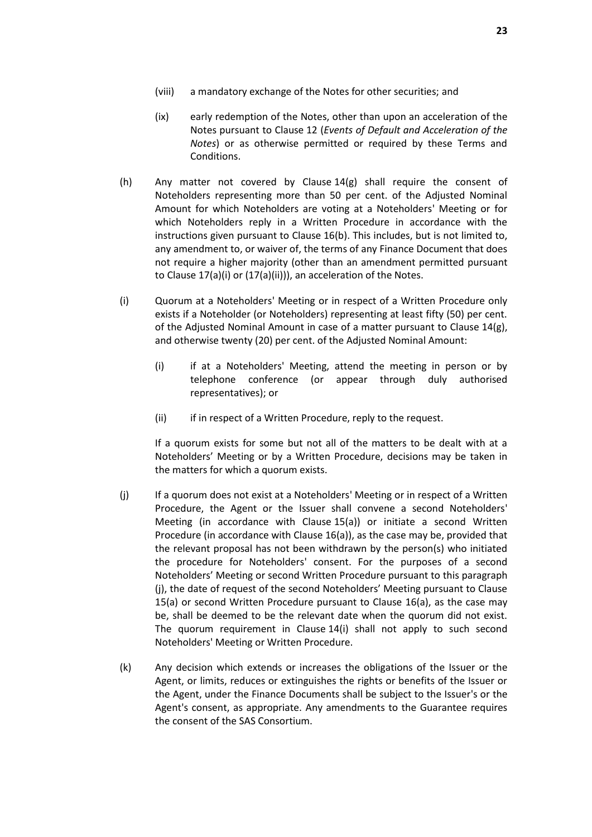- (viii) a mandatory exchange of the Notes for other securities; and
- (ix) early redemption of the Notes, other than upon an acceleration of the Notes pursuant to Clause [12](#page-19-0) (*[Events of Default and Acceleration of the](#page-19-0)  [Notes](#page-19-0)*) or as otherwise permitted or required by these Terms and Conditions.
- <span id="page-24-1"></span>(h) Any matter not covered by Clause  $14(g)$  shall require the consent of Noteholders representing more than 50 per cent. of the Adjusted Nominal Amount for which Noteholders are voting at a Noteholders' Meeting or for which Noteholders reply in a Written Procedure in accordance with the instructions given pursuant to Clause [16\(b\).](#page-26-3) This includes, but is not limited to, any amendment to, or waiver of, the terms of any Finance Document that does not require a higher majority (other than an amendment permitted pursuant to Clause [17\(a\)\(i\)](#page-27-2) or [\(17\(a\)\(ii\)\)](#page-27-3)), an acceleration of the Notes.
- <span id="page-24-0"></span>(i) Quorum at a Noteholders' Meeting or in respect of a Written Procedure only exists if a Noteholder (or Noteholders) representing at least fifty (50) per cent. of the Adjusted Nominal Amount in case of a matter pursuant to Clause [14\(g\),](#page-23-0) and otherwise twenty (20) per cent. of the Adjusted Nominal Amount:
	- (i) if at a Noteholders' Meeting, attend the meeting in person or by telephone conference (or appear through duly authorised representatives); or
	- (ii) if in respect of a Written Procedure, reply to the request.

If a quorum exists for some but not all of the matters to be dealt with at a Noteholders' Meeting or by a Written Procedure, decisions may be taken in the matters for which a quorum exists.

- (j) If a quorum does not exist at a Noteholders' Meeting or in respect of a Written Procedure, the Agent or the Issuer shall convene a second Noteholders' Meeting (in accordance with Clause [15\(a\)\)](#page-25-2) or initiate a second Written Procedure (in accordance with Clause [16\(a\)\)](#page-26-1), as the case may be, provided that the relevant proposal has not been withdrawn by the person(s) who initiated the procedure for Noteholders' consent. For the purposes of a second Noteholders' Meeting or second Written Procedure pursuant to this paragraph (j), the date of request of the second Noteholders' Meeting pursuant to Clause [15\(a\)](#page-25-2) or second Written Procedure pursuant to Clause [16\(a\),](#page-26-1) as the case may be, shall be deemed to be the relevant date when the quorum did not exist. The quorum requirement in Clause [14\(i\)](#page-24-0) shall not apply to such second Noteholders' Meeting or Written Procedure.
- (k) Any decision which extends or increases the obligations of the Issuer or the Agent, or limits, reduces or extinguishes the rights or benefits of the Issuer or the Agent, under the Finance Documents shall be subject to the Issuer's or the Agent's consent, as appropriate. Any amendments to the Guarantee requires the consent of the SAS Consortium.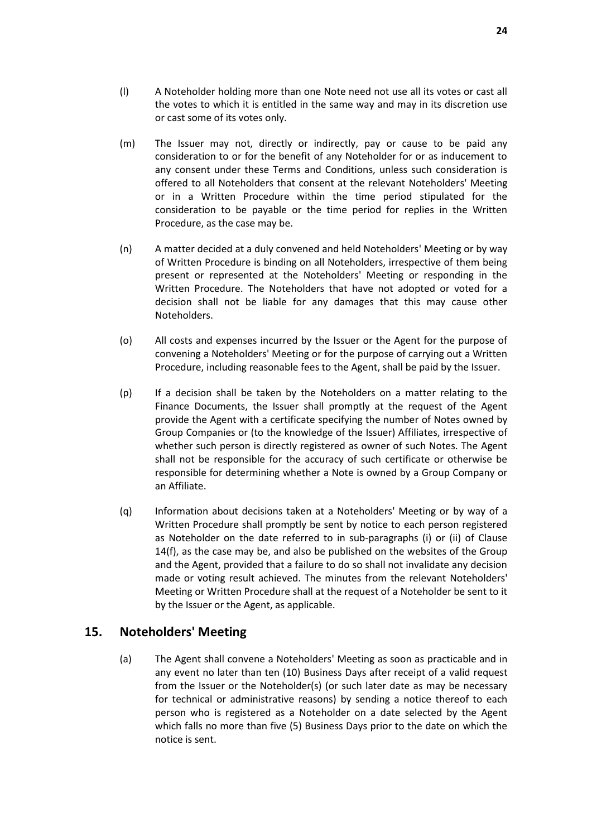- (l) A Noteholder holding more than one Note need not use all its votes or cast all the votes to which it is entitled in the same way and may in its discretion use or cast some of its votes only.
- (m) The Issuer may not, directly or indirectly, pay or cause to be paid any consideration to or for the benefit of any Noteholder for or as inducement to any consent under these Terms and Conditions, unless such consideration is offered to all Noteholders that consent at the relevant Noteholders' Meeting or in a Written Procedure within the time period stipulated for the consideration to be payable or the time period for replies in the Written Procedure, as the case may be.
- (n) A matter decided at a duly convened and held Noteholders' Meeting or by way of Written Procedure is binding on all Noteholders, irrespective of them being present or represented at the Noteholders' Meeting or responding in the Written Procedure. The Noteholders that have not adopted or voted for a decision shall not be liable for any damages that this may cause other Noteholders.
- <span id="page-25-1"></span>(o) All costs and expenses incurred by the Issuer or the Agent for the purpose of convening a Noteholders' Meeting or for the purpose of carrying out a Written Procedure, including reasonable fees to the Agent, shall be paid by the Issuer.
- (p) If a decision shall be taken by the Noteholders on a matter relating to the Finance Documents, the Issuer shall promptly at the request of the Agent provide the Agent with a certificate specifying the number of Notes owned by Group Companies or (to the knowledge of the Issuer) Affiliates, irrespective of whether such person is directly registered as owner of such Notes. The Agent shall not be responsible for the accuracy of such certificate or otherwise be responsible for determining whether a Note is owned by a Group Company or an Affiliate.
- <span id="page-25-3"></span>(q) Information about decisions taken at a Noteholders' Meeting or by way of a Written Procedure shall promptly be sent by notice to each person registered as Noteholder on the date referred to in sub-paragraphs (i) or (ii) of Clause [14\(f\),](#page-23-1) as the case may be, and also be published on the websites of the Group and the Agent, provided that a failure to do so shall not invalidate any decision made or voting result achieved. The minutes from the relevant Noteholders' Meeting or Written Procedure shall at the request of a Noteholder be sent to it by the Issuer or the Agent, as applicable.

# <span id="page-25-2"></span><span id="page-25-0"></span>**15. Noteholders' Meeting**

(a) The Agent shall convene a Noteholders' Meeting as soon as practicable and in any event no later than ten (10) Business Days after receipt of a valid request from the Issuer or the Noteholder(s) (or such later date as may be necessary for technical or administrative reasons) by sending a notice thereof to each person who is registered as a Noteholder on a date selected by the Agent which falls no more than five (5) Business Days prior to the date on which the notice is sent.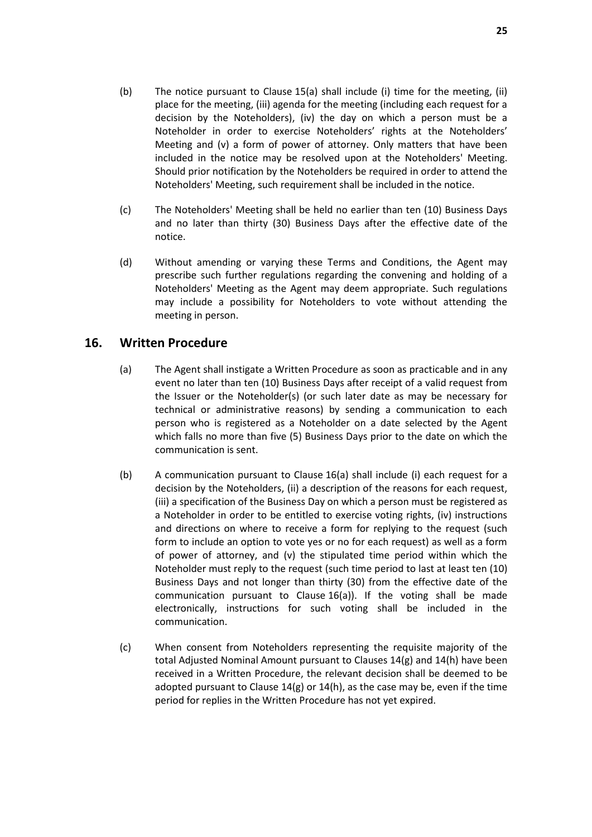- <span id="page-26-2"></span>(b) The notice pursuant to Clause [15\(a\)](#page-25-2) shall include (i) time for the meeting, (ii) place for the meeting, (iii) agenda for the meeting (including each request for a decision by the Noteholders), (iv) the day on which a person must be a Noteholder in order to exercise Noteholders' rights at the Noteholders' Meeting and (v) a form of power of attorney. Only matters that have been included in the notice may be resolved upon at the Noteholders' Meeting. Should prior notification by the Noteholders be required in order to attend the Noteholders' Meeting, such requirement shall be included in the notice.
- (c) The Noteholders' Meeting shall be held no earlier than ten (10) Business Days and no later than thirty (30) Business Days after the effective date of the notice.
- (d) Without amending or varying these Terms and Conditions, the Agent may prescribe such further regulations regarding the convening and holding of a Noteholders' Meeting as the Agent may deem appropriate. Such regulations may include a possibility for Noteholders to vote without attending the meeting in person.

# <span id="page-26-1"></span><span id="page-26-0"></span>**16. Written Procedure**

- (a) The Agent shall instigate a Written Procedure as soon as practicable and in any event no later than ten (10) Business Days after receipt of a valid request from the Issuer or the Noteholder(s) (or such later date as may be necessary for technical or administrative reasons) by sending a communication to each person who is registered as a Noteholder on a date selected by the Agent which falls no more than five (5) Business Days prior to the date on which the communication is sent.
- <span id="page-26-3"></span>(b) A communication pursuant to Clause [16\(a\)](#page-26-1) shall include (i) each request for a decision by the Noteholders, (ii) a description of the reasons for each request, (iii) a specification of the Business Day on which a person must be registered as a Noteholder in order to be entitled to exercise voting rights, (iv) instructions and directions on where to receive a form for replying to the request (such form to include an option to vote yes or no for each request) as well as a form of power of attorney, and (v) the stipulated time period within which the Noteholder must reply to the request (such time period to last at least ten (10) Business Days and not longer than thirty (30) from the effective date of the communication pursuant to Clause [16\(a\)\)](#page-26-1). If the voting shall be made electronically, instructions for such voting shall be included in the communication.
- (c) When consent from Noteholders representing the requisite majority of the total Adjusted Nominal Amount pursuant to Clauses [14\(g\)](#page-23-0) an[d 14\(h\)](#page-24-1) have been received in a Written Procedure, the relevant decision shall be deemed to be adopted pursuant to Clause  $14(g)$  or  $14(h)$ , as the case may be, even if the time period for replies in the Written Procedure has not yet expired.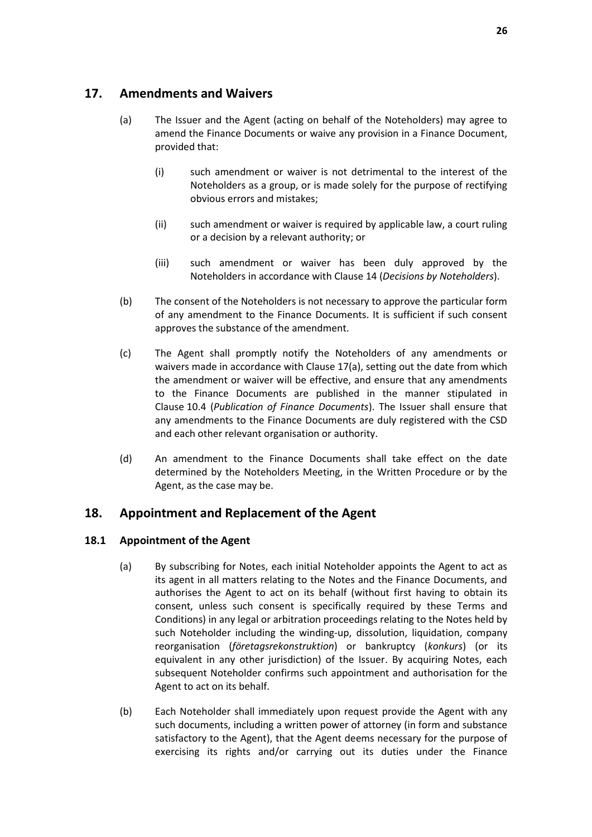# <span id="page-27-4"></span><span id="page-27-0"></span>**17. Amendments and Waivers**

- <span id="page-27-2"></span>(a) The Issuer and the Agent (acting on behalf of the Noteholders) may agree to amend the Finance Documents or waive any provision in a Finance Document, provided that:
	- (i) such amendment or waiver is not detrimental to the interest of the Noteholders as a group, or is made solely for the purpose of rectifying obvious errors and mistakes;
	- (ii) such amendment or waiver is required by applicable law, a court ruling or a decision by a relevant authority; or
	- (iii) such amendment or waiver has been duly approved by the Noteholders in accordance with Clause [14](#page-22-0) (*[Decisions by Noteholders](#page-22-0)*).
- <span id="page-27-3"></span>(b) The consent of the Noteholders is not necessary to approve the particular form of any amendment to the Finance Documents. It is sufficient if such consent approves the substance of the amendment.
- <span id="page-27-6"></span>(c) The Agent shall promptly notify the Noteholders of any amendments or waivers made in accordance with Clause [17\(a\),](#page-27-4) setting out the date from which the amendment or waiver will be effective, and ensure that any amendments to the Finance Documents are published in the manner stipulated in Clause [10.4](#page-16-1) (*Publication of Finance Documents*). The Issuer shall ensure that any amendments to the Finance Documents are duly registered with the CSD and each other relevant organisation or authority.
- (d) An amendment to the Finance Documents shall take effect on the date determined by the Noteholders Meeting, in the Written Procedure or by the Agent, as the case may be.

# <span id="page-27-1"></span>**18. Appointment and Replacement of the Agent**

# **18.1 Appointment of the Agent**

- (a) By subscribing for Notes, each initial Noteholder appoints the Agent to act as its agent in all matters relating to the Notes and the Finance Documents, and authorises the Agent to act on its behalf (without first having to obtain its consent, unless such consent is specifically required by these Terms and Conditions) in any legal or arbitration proceedings relating to the Notes held by such Noteholder including the winding-up, dissolution, liquidation, company reorganisation (*företagsrekonstruktion*) or bankruptcy (*konkurs*) (or its equivalent in any other jurisdiction) of the Issuer. By acquiring Notes, each subsequent Noteholder confirms such appointment and authorisation for the Agent to act on its behalf.
- <span id="page-27-5"></span>(b) Each Noteholder shall immediately upon request provide the Agent with any such documents, including a written power of attorney (in form and substance satisfactory to the Agent), that the Agent deems necessary for the purpose of exercising its rights and/or carrying out its duties under the Finance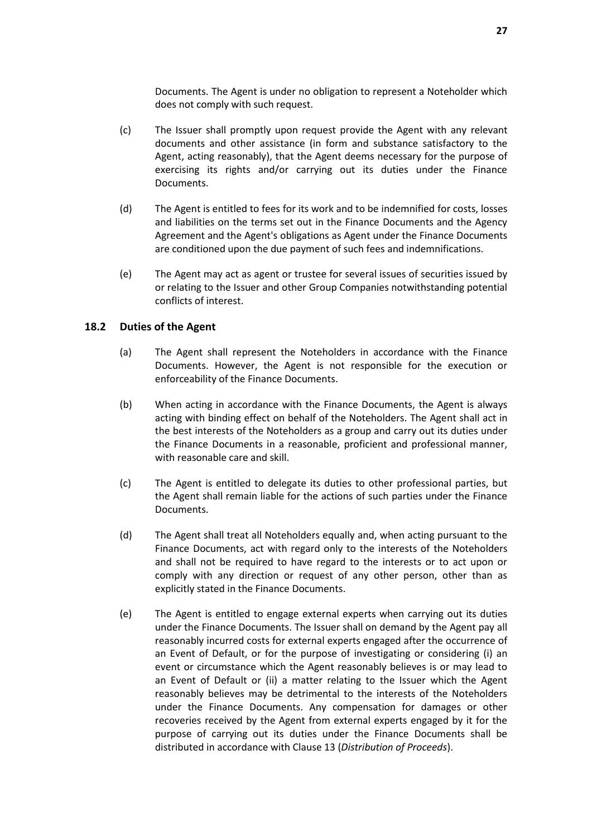Documents. The Agent is under no obligation to represent a Noteholder which does not comply with such request.

- (c) The Issuer shall promptly upon request provide the Agent with any relevant documents and other assistance (in form and substance satisfactory to the Agent, acting reasonably), that the Agent deems necessary for the purpose of exercising its rights and/or carrying out its duties under the Finance Documents.
- (d) The Agent is entitled to fees for its work and to be indemnified for costs, losses and liabilities on the terms set out in the Finance Documents and the Agency Agreement and the Agent's obligations as Agent under the Finance Documents are conditioned upon the due payment of such fees and indemnifications.
- (e) The Agent may act as agent or trustee for several issues of securities issued by or relating to the Issuer and other Group Companies notwithstanding potential conflicts of interest.

#### **18.2 Duties of the Agent**

- (a) The Agent shall represent the Noteholders in accordance with the Finance Documents. However, the Agent is not responsible for the execution or enforceability of the Finance Documents.
- (b) When acting in accordance with the Finance Documents, the Agent is always acting with binding effect on behalf of the Noteholders. The Agent shall act in the best interests of the Noteholders as a group and carry out its duties under the Finance Documents in a reasonable, proficient and professional manner, with reasonable care and skill.
- (c) The Agent is entitled to delegate its duties to other professional parties, but the Agent shall remain liable for the actions of such parties under the Finance Documents.
- (d) The Agent shall treat all Noteholders equally and, when acting pursuant to the Finance Documents, act with regard only to the interests of the Noteholders and shall not be required to have regard to the interests or to act upon or comply with any direction or request of any other person, other than as explicitly stated in the Finance Documents.
- <span id="page-28-0"></span>(e) The Agent is entitled to engage external experts when carrying out its duties under the Finance Documents. The Issuer shall on demand by the Agent pay all reasonably incurred costs for external experts engaged after the occurrence of an Event of Default, or for the purpose of investigating or considering (i) an event or circumstance which the Agent reasonably believes is or may lead to an Event of Default or (ii) a matter relating to the Issuer which the Agent reasonably believes may be detrimental to the interests of the Noteholders under the Finance Documents. Any compensation for damages or other recoveries received by the Agent from external experts engaged by it for the purpose of carrying out its duties under the Finance Documents shall be distributed in accordance with Clause [13](#page-21-0) (*[Distribution of Proceeds](#page-21-0)*).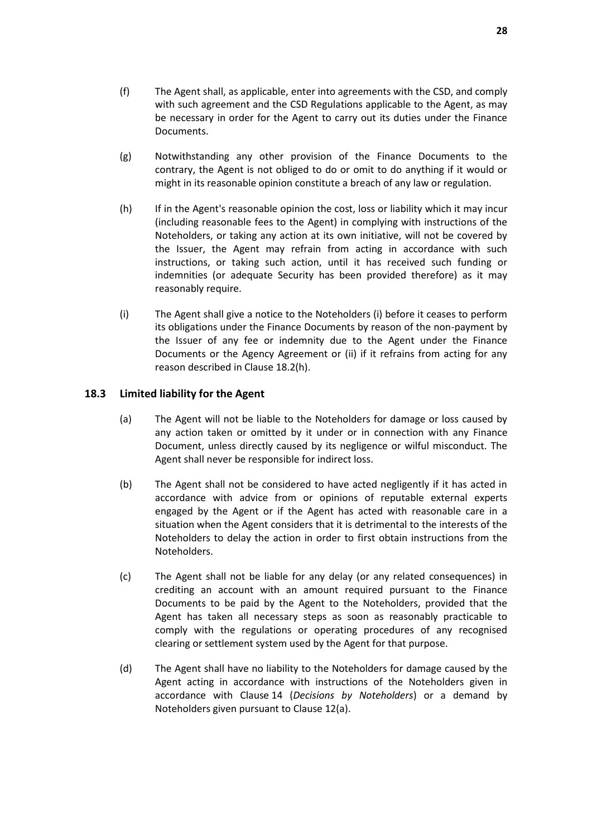- (f) The Agent shall, as applicable, enter into agreements with the CSD, and comply with such agreement and the CSD Regulations applicable to the Agent, as may be necessary in order for the Agent to carry out its duties under the Finance Documents.
- (g) Notwithstanding any other provision of the Finance Documents to the contrary, the Agent is not obliged to do or omit to do anything if it would or might in its reasonable opinion constitute a breach of any law or regulation.
- <span id="page-29-0"></span>(h) If in the Agent's reasonable opinion the cost, loss or liability which it may incur (including reasonable fees to the Agent) in complying with instructions of the Noteholders, or taking any action at its own initiative, will not be covered by the Issuer, the Agent may refrain from acting in accordance with such instructions, or taking such action, until it has received such funding or indemnities (or adequate Security has been provided therefore) as it may reasonably require.
- <span id="page-29-1"></span>(i) The Agent shall give a notice to the Noteholders (i) before it ceases to perform its obligations under the Finance Documents by reason of the non-payment by the Issuer of any fee or indemnity due to the Agent under the Finance Documents or the Agency Agreement or (ii) if it refrains from acting for any reason described in Clause [18.2\(h\).](#page-29-0)

### **18.3 Limited liability for the Agent**

- (a) The Agent will not be liable to the Noteholders for damage or loss caused by any action taken or omitted by it under or in connection with any Finance Document, unless directly caused by its negligence or wilful misconduct. The Agent shall never be responsible for indirect loss.
- (b) The Agent shall not be considered to have acted negligently if it has acted in accordance with advice from or opinions of reputable external experts engaged by the Agent or if the Agent has acted with reasonable care in a situation when the Agent considers that it is detrimental to the interests of the Noteholders to delay the action in order to first obtain instructions from the Noteholders.
- (c) The Agent shall not be liable for any delay (or any related consequences) in crediting an account with an amount required pursuant to the Finance Documents to be paid by the Agent to the Noteholders, provided that the Agent has taken all necessary steps as soon as reasonably practicable to comply with the regulations or operating procedures of any recognised clearing or settlement system used by the Agent for that purpose.
- (d) The Agent shall have no liability to the Noteholders for damage caused by the Agent acting in accordance with instructions of the Noteholders given in accordance with Clause [14](#page-22-0) (*[Decisions by Noteholders](#page-22-0)*) or a demand by Noteholders given pursuant to Clause [12\(a\).](#page-19-1)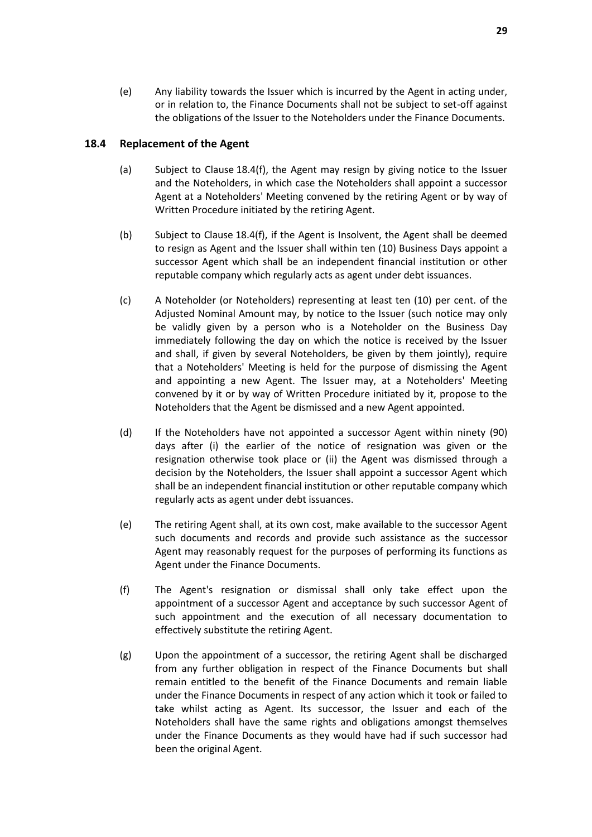(e) Any liability towards the Issuer which is incurred by the Agent in acting under, or in relation to, the Finance Documents shall not be subject to set-off against the obligations of the Issuer to the Noteholders under the Finance Documents.

### <span id="page-30-2"></span>**18.4 Replacement of the Agent**

- (a) Subject to Clause [18.4\(f\),](#page-30-1) the Agent may resign by giving notice to the Issuer and the Noteholders, in which case the Noteholders shall appoint a successor Agent at a Noteholders' Meeting convened by the retiring Agent or by way of Written Procedure initiated by the retiring Agent.
- (b) Subject to Clause [18.4\(f\),](#page-30-1) if the Agent is Insolvent, the Agent shall be deemed to resign as Agent and the Issuer shall within ten (10) Business Days appoint a successor Agent which shall be an independent financial institution or other reputable company which regularly acts as agent under debt issuances.
- <span id="page-30-0"></span>(c) A Noteholder (or Noteholders) representing at least ten (10) per cent. of the Adjusted Nominal Amount may, by notice to the Issuer (such notice may only be validly given by a person who is a Noteholder on the Business Day immediately following the day on which the notice is received by the Issuer and shall, if given by several Noteholders, be given by them jointly), require that a Noteholders' Meeting is held for the purpose of dismissing the Agent and appointing a new Agent. The Issuer may, at a Noteholders' Meeting convened by it or by way of Written Procedure initiated by it, propose to the Noteholders that the Agent be dismissed and a new Agent appointed.
- (d) If the Noteholders have not appointed a successor Agent within ninety (90) days after (i) the earlier of the notice of resignation was given or the resignation otherwise took place or (ii) the Agent was dismissed through a decision by the Noteholders, the Issuer shall appoint a successor Agent which shall be an independent financial institution or other reputable company which regularly acts as agent under debt issuances.
- (e) The retiring Agent shall, at its own cost, make available to the successor Agent such documents and records and provide such assistance as the successor Agent may reasonably request for the purposes of performing its functions as Agent under the Finance Documents.
- <span id="page-30-1"></span>(f) The Agent's resignation or dismissal shall only take effect upon the appointment of a successor Agent and acceptance by such successor Agent of such appointment and the execution of all necessary documentation to effectively substitute the retiring Agent.
- (g) Upon the appointment of a successor, the retiring Agent shall be discharged from any further obligation in respect of the Finance Documents but shall remain entitled to the benefit of the Finance Documents and remain liable under the Finance Documents in respect of any action which it took or failed to take whilst acting as Agent. Its successor, the Issuer and each of the Noteholders shall have the same rights and obligations amongst themselves under the Finance Documents as they would have had if such successor had been the original Agent.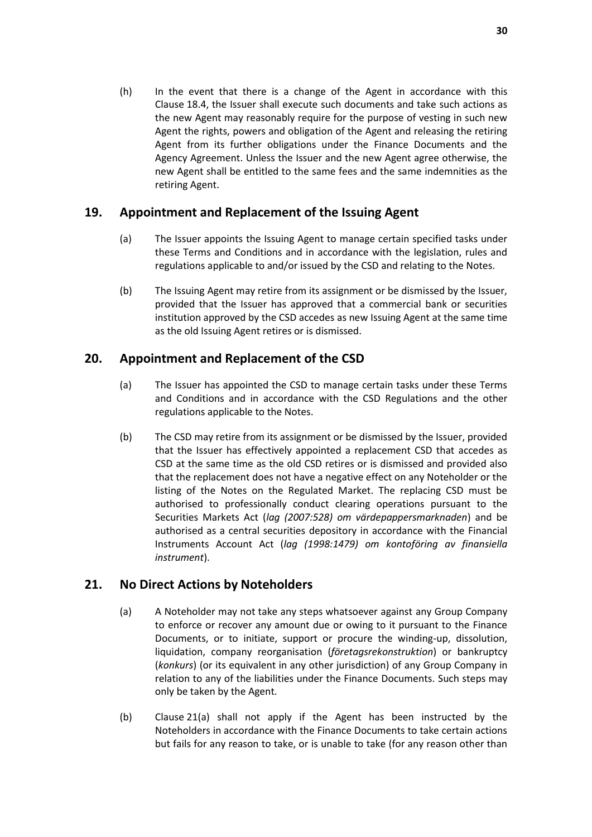(h) In the event that there is a change of the Agent in accordance with this Clause [18.4,](#page-30-2) the Issuer shall execute such documents and take such actions as the new Agent may reasonably require for the purpose of vesting in such new Agent the rights, powers and obligation of the Agent and releasing the retiring Agent from its further obligations under the Finance Documents and the Agency Agreement. Unless the Issuer and the new Agent agree otherwise, the new Agent shall be entitled to the same fees and the same indemnities as the retiring Agent.

# <span id="page-31-0"></span>**19. Appointment and Replacement of the Issuing Agent**

- (a) The Issuer appoints the Issuing Agent to manage certain specified tasks under these Terms and Conditions and in accordance with the legislation, rules and regulations applicable to and/or issued by the CSD and relating to the Notes.
- (b) The Issuing Agent may retire from its assignment or be dismissed by the Issuer, provided that the Issuer has approved that a commercial bank or securities institution approved by the CSD accedes as new Issuing Agent at the same time as the old Issuing Agent retires or is dismissed.

# <span id="page-31-1"></span>**20. Appointment and Replacement of the CSD**

- (a) The Issuer has appointed the CSD to manage certain tasks under these Terms and Conditions and in accordance with the CSD Regulations and the other regulations applicable to the Notes.
- (b) The CSD may retire from its assignment or be dismissed by the Issuer, provided that the Issuer has effectively appointed a replacement CSD that accedes as CSD at the same time as the old CSD retires or is dismissed and provided also that the replacement does not have a negative effect on any Noteholder or the listing of the Notes on the Regulated Market. The replacing CSD must be authorised to professionally conduct clearing operations pursuant to the Securities Markets Act (*lag (2007:528) om värdepappersmarknaden*) and be authorised as a central securities depository in accordance with the Financial Instruments Account Act (*lag (1998:1479) om kontoföring av finansiella instrument*).

# <span id="page-31-3"></span><span id="page-31-2"></span>**21. No Direct Actions by Noteholders**

- (a) A Noteholder may not take any steps whatsoever against any Group Company to enforce or recover any amount due or owing to it pursuant to the Finance Documents, or to initiate, support or procure the winding-up, dissolution, liquidation, company reorganisation (*företagsrekonstruktion*) or bankruptcy (*konkurs*) (or its equivalent in any other jurisdiction) of any Group Company in relation to any of the liabilities under the Finance Documents. Such steps may only be taken by the Agent.
- (b) Clause [21\(a\)](#page-31-3) shall not apply if the Agent has been instructed by the Noteholders in accordance with the Finance Documents to take certain actions but fails for any reason to take, or is unable to take (for any reason other than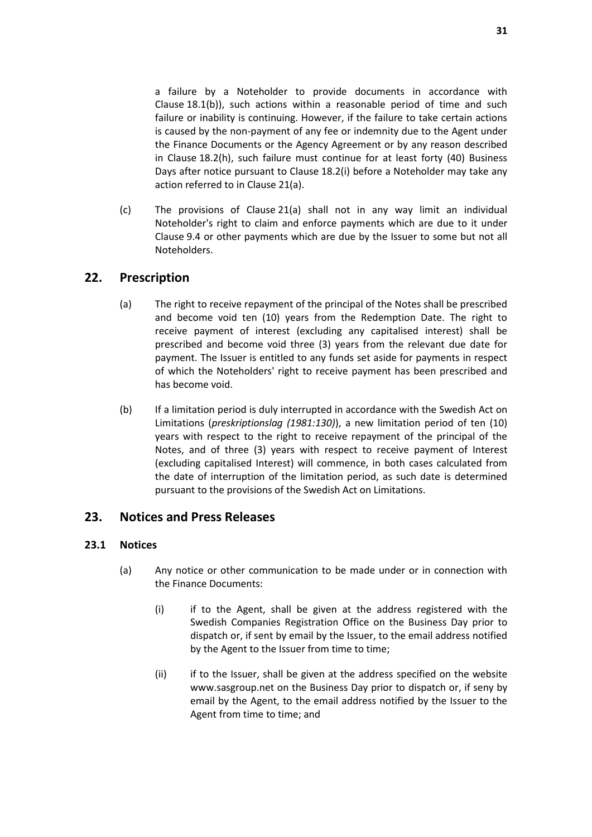a failure by a Noteholder to provide documents in accordance with Clause [18.1\(b\)\)](#page-27-5), such actions within a reasonable period of time and such failure or inability is continuing. However, if the failure to take certain actions is caused by the non-payment of any fee or indemnity due to the Agent under the Finance Documents or the Agency Agreement or by any reason described in Clause [18.2\(h\),](#page-29-0) such failure must continue for at least forty (40) Business Days after notice pursuant to Clause [18.2\(i\)](#page-29-1) before a Noteholder may take any action referred to in Clause [21\(a\).](#page-31-3)

(c) The provisions of Clause [21\(a\)](#page-31-3) shall not in any way limit an individual Noteholder's right to claim and enforce payments which are due to it under Clause [9.4](#page-13-0) or other payments which are due by the Issuer to some but not all Noteholders.

# <span id="page-32-0"></span>**22. Prescription**

- (a) The right to receive repayment of the principal of the Notes shall be prescribed and become void ten (10) years from the Redemption Date. The right to receive payment of interest (excluding any capitalised interest) shall be prescribed and become void three (3) years from the relevant due date for payment. The Issuer is entitled to any funds set aside for payments in respect of which the Noteholders' right to receive payment has been prescribed and has become void.
- (b) If a limitation period is duly interrupted in accordance with the Swedish Act on Limitations (*preskriptionslag (1981:130)*), a new limitation period of ten (10) years with respect to the right to receive repayment of the principal of the Notes, and of three (3) years with respect to receive payment of Interest (excluding capitalised Interest) will commence, in both cases calculated from the date of interruption of the limitation period, as such date is determined pursuant to the provisions of the Swedish Act on Limitations.

# <span id="page-32-1"></span>**23. Notices and Press Releases**

#### <span id="page-32-2"></span>**23.1 Notices**

- (a) Any notice or other communication to be made under or in connection with the Finance Documents:
	- (i) if to the Agent, shall be given at the address registered with the Swedish Companies Registration Office on the Business Day prior to dispatch or, if sent by email by the Issuer, to the email address notified by the Agent to the Issuer from time to time;
	- (ii) if to the Issuer, shall be given at the address specified on the website www.sasgroup.net on the Business Day prior to dispatch or, if seny by email by the Agent, to the email address notified by the Issuer to the Agent from time to time; and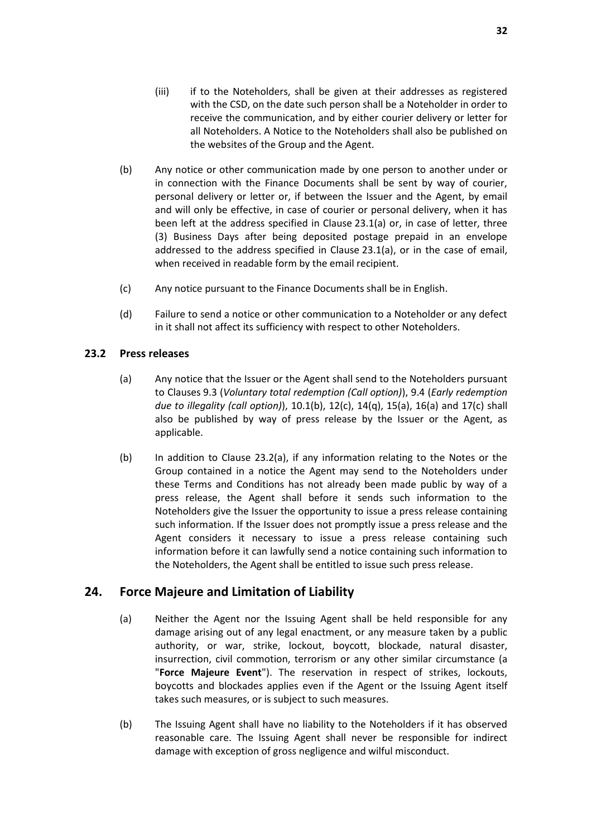- (iii) if to the Noteholders, shall be given at their addresses as registered with the CSD, on the date such person shall be a Noteholder in order to receive the communication, and by either courier delivery or letter for all Noteholders. A Notice to the Noteholders shall also be published on the websites of the Group and the Agent.
- (b) Any notice or other communication made by one person to another under or in connection with the Finance Documents shall be sent by way of courier, personal delivery or letter or, if between the Issuer and the Agent, by email and will only be effective, in case of courier or personal delivery, when it has been left at the address specified in Clause [23.1\(a\)](#page-32-2) or, in case of letter, three (3) Business Days after being deposited postage prepaid in an envelope addressed to the address specified in Clause [23.1\(a\),](#page-32-2) or in the case of email, when received in readable form by the email recipient.
- (c) Any notice pursuant to the Finance Documents shall be in English.
- (d) Failure to send a notice or other communication to a Noteholder or any defect in it shall not affect its sufficiency with respect to other Noteholders.

#### <span id="page-33-2"></span>**23.2 Press releases**

- (a) Any notice that the Issuer or the Agent shall send to the Noteholders pursuant to Clauses [9.3](#page-12-3) (*Voluntary total redemption (Call option)*), [9.4](#page-13-0) (*Early redemption due to illegality (call option)*), [10.1\(b\),](#page-15-1) [12\(c\),](#page-19-0) [14\(q\),](#page-25-3) [15\(a\),](#page-25-2) [16\(a\)](#page-26-1) and [17\(c\)](#page-27-6) shall also be published by way of press release by the Issuer or the Agent, as applicable.
- (b) In addition to Clause [23.2\(a\),](#page-33-2) if any information relating to the Notes or the Group contained in a notice the Agent may send to the Noteholders under these Terms and Conditions has not already been made public by way of a press release, the Agent shall before it sends such information to the Noteholders give the Issuer the opportunity to issue a press release containing such information. If the Issuer does not promptly issue a press release and the Agent considers it necessary to issue a press release containing such information before it can lawfully send a notice containing such information to the Noteholders, the Agent shall be entitled to issue such press release.

# <span id="page-33-1"></span><span id="page-33-0"></span>**24. Force Majeure and Limitation of Liability**

- (a) Neither the Agent nor the Issuing Agent shall be held responsible for any damage arising out of any legal enactment, or any measure taken by a public authority, or war, strike, lockout, boycott, blockade, natural disaster, insurrection, civil commotion, terrorism or any other similar circumstance (a "**Force Majeure Event**"). The reservation in respect of strikes, lockouts, boycotts and blockades applies even if the Agent or the Issuing Agent itself takes such measures, or is subject to such measures.
- (b) The Issuing Agent shall have no liability to the Noteholders if it has observed reasonable care. The Issuing Agent shall never be responsible for indirect damage with exception of gross negligence and wilful misconduct.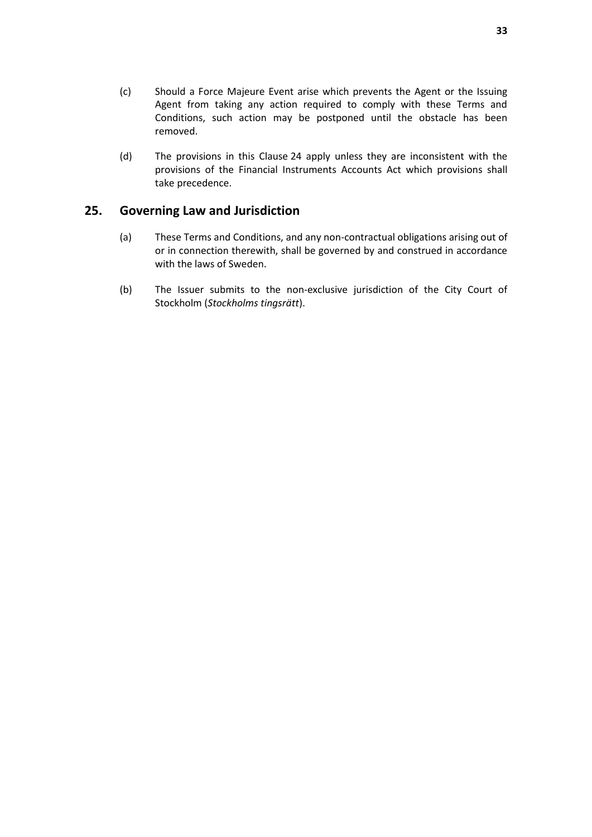- (c) Should a Force Majeure Event arise which prevents the Agent or the Issuing Agent from taking any action required to comply with these Terms and Conditions, such action may be postponed until the obstacle has been removed.
- (d) The provisions in this Clause [24](#page-33-0) apply unless they are inconsistent with the provisions of the Financial Instruments Accounts Act which provisions shall take precedence.

# <span id="page-34-0"></span>**25. Governing Law and Jurisdiction**

- (a) These Terms and Conditions, and any non-contractual obligations arising out of or in connection therewith, shall be governed by and construed in accordance with the laws of Sweden.
- (b) The Issuer submits to the non-exclusive jurisdiction of the City Court of Stockholm (*Stockholms tingsrätt*).